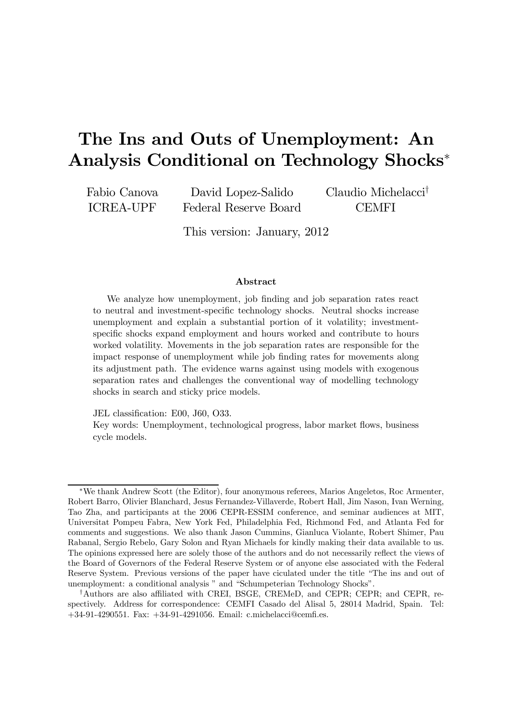# The Ins and Outs of Unemployment: An Analysis Conditional on Technology Shocks<sup>∗</sup>

Fabio Canova ICREA-UPF David Lopez-Salido Federal Reserve Board Claudio Michelacci† CEMFI

This version: January, 2012

#### Abstract

We analyze how unemployment, job finding and job separation rates react to neutral and investment-specific technology shocks. Neutral shocks increase unemployment and explain a substantial portion of it volatility; investmentspecific shocks expand employment and hours worked and contribute to hours worked volatility. Movements in the job separation rates are responsible for the impact response of unemployment while job finding rates for movements along its adjustment path. The evidence warns against using models with exogenous separation rates and challenges the conventional way of modelling technology shocks in search and sticky price models.

JEL classification: E00, J60, O33.

Key words: Unemployment, technological progress, labor market flows, business cycle models.

<sup>∗</sup>We thank Andrew Scott (the Editor), four anonymous referees, Marios Angeletos, Roc Armenter, Robert Barro, Olivier Blanchard, Jesus Fernandez-Villaverde, Robert Hall, Jim Nason, Ivan Werning, Tao Zha, and participants at the 2006 CEPR-ESSIM conference, and seminar audiences at MIT, Universitat Pompeu Fabra, New York Fed, Philadelphia Fed, Richmond Fed, and Atlanta Fed for comments and suggestions. We also thank Jason Cummins, Gianluca Violante, Robert Shimer, Pau Rabanal, Sergio Rebelo, Gary Solon and Ryan Michaels for kindly making their data available to us. The opinions expressed here are solely those of the authors and do not necessarily reflect the views of the Board of Governors of the Federal Reserve System or of anyone else associated with the Federal Reserve System. Previous versions of the paper have ciculated under the title "The ins and out of unemployment: a conditional analysis " and "Schumpeterian Technology Shocks".

<sup>†</sup>Authors are also affiliated with CREI, BSGE, CREMeD, and CEPR; CEPR; and CEPR, respectively. Address for correspondence: CEMFI Casado del Alisal 5, 28014 Madrid, Spain. Tel: +34-91-4290551. Fax: +34-91-4291056. Email: c.michelacci@cemfi.es.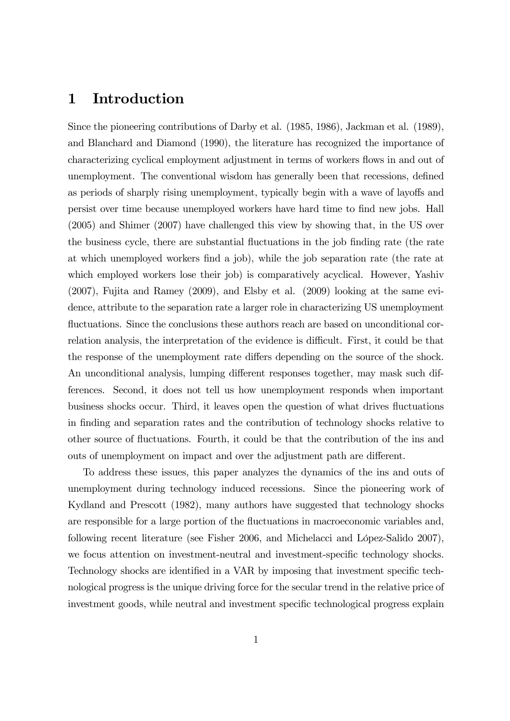#### 1 Introduction

Since the pioneering contributions of Darby et al. (1985, 1986), Jackman et al. (1989), and Blanchard and Diamond (1990), the literature has recognized the importance of characterizing cyclical employment adjustment in terms of workers flows in and out of unemployment. The conventional wisdom has generally been that recessions, defined as periods of sharply rising unemployment, typically begin with a wave of layoffs and persist over time because unemployed workers have hard time to find new jobs. Hall (2005) and Shimer (2007) have challenged this view by showing that, in the US over the business cycle, there are substantial fluctuations in the job finding rate (the rate at which unemployed workers find a job), while the job separation rate (the rate at which employed workers lose their job) is comparatively acyclical. However, Yashiv (2007), Fujita and Ramey (2009), and Elsby et al. (2009) looking at the same evidence, attribute to the separation rate a larger role in characterizing US unemployment fluctuations. Since the conclusions these authors reach are based on unconditional correlation analysis, the interpretation of the evidence is difficult. First, it could be that the response of the unemployment rate differs depending on the source of the shock. An unconditional analysis, lumping different responses together, may mask such differences. Second, it does not tell us how unemployment responds when important business shocks occur. Third, it leaves open the question of what drives fluctuations in finding and separation rates and the contribution of technology shocks relative to other source of fluctuations. Fourth, it could be that the contribution of the ins and outs of unemployment on impact and over the adjustment path are different.

To address these issues, this paper analyzes the dynamics of the ins and outs of unemployment during technology induced recessions. Since the pioneering work of Kydland and Prescott (1982), many authors have suggested that technology shocks are responsible for a large portion of the fluctuations in macroeconomic variables and, following recent literature (see Fisher 2006, and Michelacci and López-Salido 2007), we focus attention on investment-neutral and investment-specific technology shocks. Technology shocks are identified in a VAR by imposing that investment specific technological progress is the unique driving force for the secular trend in the relative price of investment goods, while neutral and investment specific technological progress explain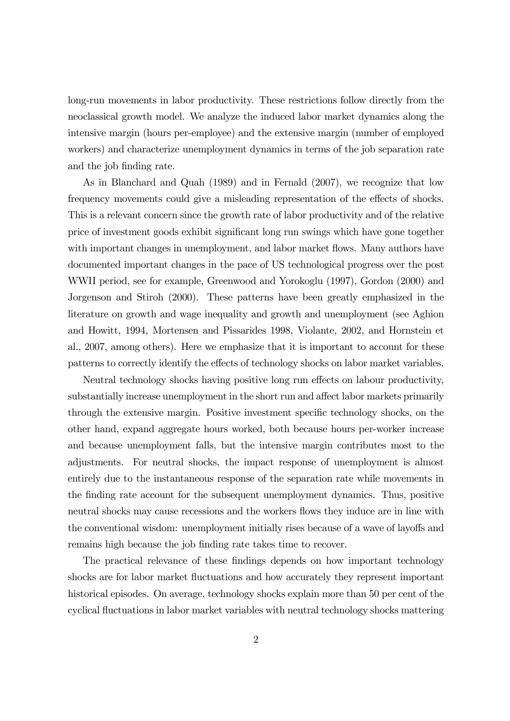long-run movements in labor productivity. These restrictions follow directly from the neoclassical growth model. We analyze the induced labor market dynamics along the intensive margin (hours per-employee) and the extensive margin (number of employed workers) and characterize unemployment dynamics in terms of the job separation rate and the job finding rate.

As in Blanchard and Quah (1989) and in Fernald (2007), we recognize that low frequency movements could give a misleading representation of the effects of shocks. This is a relevant concern since the growth rate of labor productivity and of the relative price of investment goods exhibit significant long run swings which have gone together with important changes in unemployment, and labor market flows. Many authors have documented important changes in the pace of US technological progress over the post WWII period, see for example, Greenwood and Yorokoglu (1997), Gordon (2000) and Jorgenson and Stiroh (2000). These patterns have been greatly emphasized in the literature on growth and wage inequality and growth and unemployment (see Aghion and Howitt, 1994, Mortensen and Pissarides 1998, Violante, 2002, and Hornstein et al., 2007, among others). Here we emphasize that it is important to account for these patterns to correctly identify the effects of technology shocks on labor market variables.

Neutral technology shocks having positive long run effects on labour productivity, substantially increase unemployment in the short run and affect labor markets primarily through the extensive margin. Positive investment specific technology shocks, on the other hand, expand aggregate hours worked, both because hours per-worker increase and because unemployment falls, but the intensive margin contributes most to the adjustments. For neutral shocks, the impact response of unemployment is almost entirely due to the instantaneous response of the separation rate while movements in the finding rate account for the subsequent unemployment dynamics. Thus, positive neutral shocks may cause recessions and the workers flows they induce are in line with the conventional wisdom: unemployment initially rises because of a wave of layoffs and remains high because the job finding rate takes time to recover.

The practical relevance of these findings depends on how important technology shocks are for labor market fluctuations and how accurately they represent important historical episodes. On average, technology shocks explain more than 50 per cent of the cyclical fluctuations in labor market variables with neutral technology shocks mattering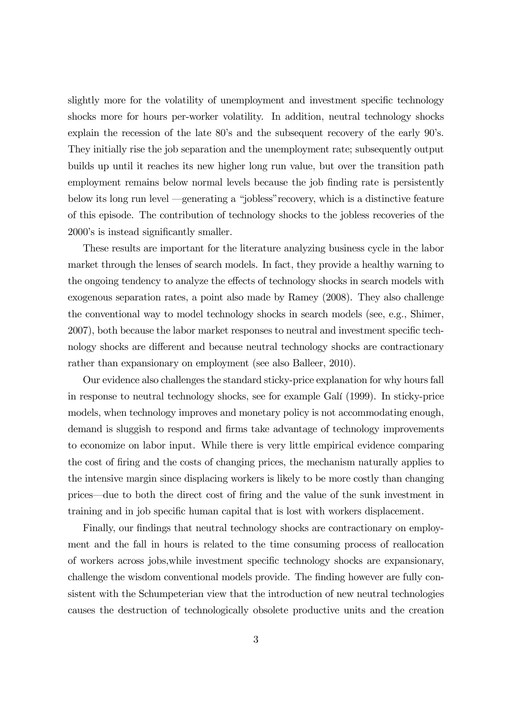slightly more for the volatility of unemployment and investment specific technology shocks more for hours per-worker volatility. In addition, neutral technology shocks explain the recession of the late 80's and the subsequent recovery of the early 90's. They initially rise the job separation and the unemployment rate; subsequently output builds up until it reaches its new higher long run value, but over the transition path employment remains below normal levels because the job finding rate is persistently below its long run level –generating a "jobless"recovery, which is a distinctive feature of this episode. The contribution of technology shocks to the jobless recoveries of the 2000's is instead significantly smaller.

These results are important for the literature analyzing business cycle in the labor market through the lenses of search models. In fact, they provide a healthy warning to the ongoing tendency to analyze the effects of technology shocks in search models with exogenous separation rates, a point also made by Ramey (2008). They also challenge the conventional way to model technology shocks in search models (see, e.g., Shimer, 2007), both because the labor market responses to neutral and investment specific technology shocks are different and because neutral technology shocks are contractionary rather than expansionary on employment (see also Balleer, 2010).

Our evidence also challenges the standard sticky-price explanation for why hours fall in response to neutral technology shocks, see for example Galí (1999). In sticky-price models, when technology improves and monetary policy is not accommodating enough, demand is sluggish to respond and firms take advantage of technology improvements to economize on labor input. While there is very little empirical evidence comparing the cost of firing and the costs of changing prices, the mechanism naturally applies to the intensive margin since displacing workers is likely to be more costly than changing prices–due to both the direct cost of firing and the value of the sunk investment in training and in job specific human capital that is lost with workers displacement.

Finally, our findings that neutral technology shocks are contractionary on employment and the fall in hours is related to the time consuming process of reallocation of workers across jobs,while investment specific technology shocks are expansionary, challenge the wisdom conventional models provide. The finding however are fully consistent with the Schumpeterian view that the introduction of new neutral technologies causes the destruction of technologically obsolete productive units and the creation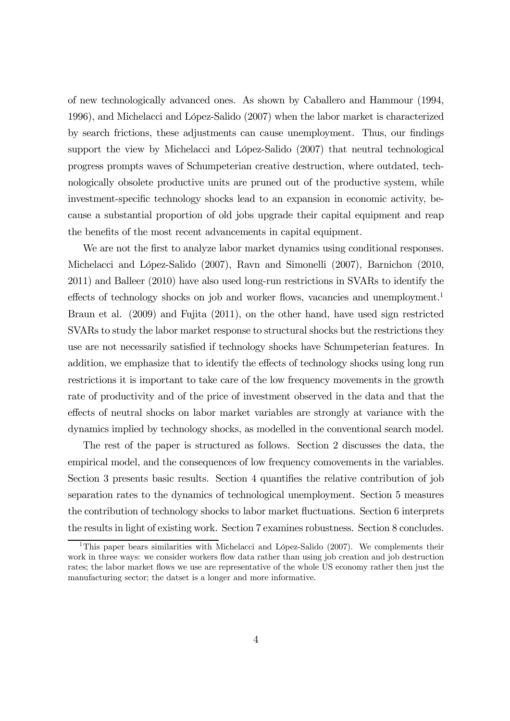of new technologically advanced ones. As shown by Caballero and Hammour (1994, 1996), and Michelacci and López-Salido (2007) when the labor market is characterized by search frictions, these adjustments can cause unemployment. Thus, our findings support the view by Michelacci and López-Salido (2007) that neutral technological progress prompts waves of Schumpeterian creative destruction, where outdated, technologically obsolete productive units are pruned out of the productive system, while investment-specific technology shocks lead to an expansion in economic activity, because a substantial proportion of old jobs upgrade their capital equipment and reap the benefits of the most recent advancements in capital equipment.

We are not the first to analyze labor market dynamics using conditional responses. Michelacci and López-Salido (2007), Ravn and Simonelli (2007), Barnichon (2010, 2011) and Balleer (2010) have also used long-run restrictions in SVARs to identify the effects of technology shocks on job and worker flows, vacancies and unemployment.<sup>1</sup> Braun et al. (2009) and Fujita (2011), on the other hand, have used sign restricted SVARs to study the labor market response to structural shocks but the restrictions they use are not necessarily satisfied if technology shocks have Schumpeterian features. In addition, we emphasize that to identify the effects of technology shocks using long run restrictions it is important to take care of the low frequency movements in the growth rate of productivity and of the price of investment observed in the data and that the effects of neutral shocks on labor market variables are strongly at variance with the dynamics implied by technology shocks, as modelled in the conventional search model.

The rest of the paper is structured as follows. Section 2 discusses the data, the empirical model, and the consequences of low frequency comovements in the variables. Section 3 presents basic results. Section 4 quantifies the relative contribution of job separation rates to the dynamics of technological unemployment. Section 5 measures the contribution of technology shocks to labor market fluctuations. Section 6 interprets the results in light of existing work. Section 7 examines robustness. Section 8 concludes.

<sup>&</sup>lt;sup>1</sup>This paper bears similarities with Michelacci and López-Salido (2007). We complements their work in three ways: we consider workers flow data rather than using job creation and job destruction rates; the labor market flows we use are representative of the whole US economy rather then just the manufacturing sector; the datset is a longer and more informative.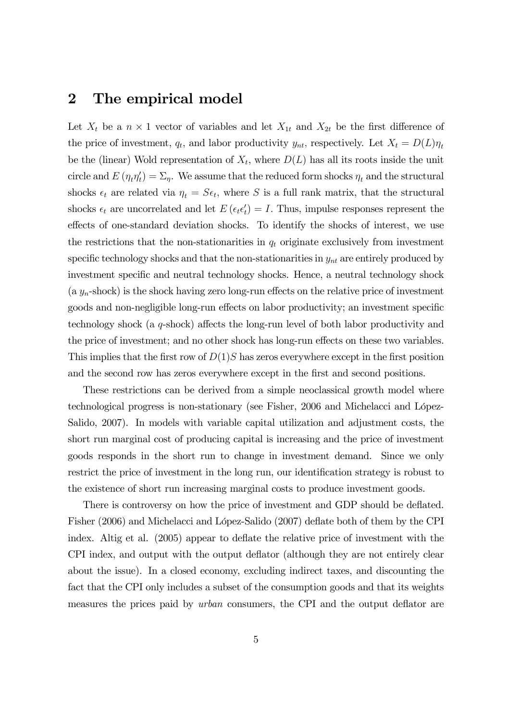#### 2 The empirical model

Let  $X_t$  be a  $n \times 1$  vector of variables and let  $X_{1t}$  and  $X_{2t}$  be the first difference of the price of investment,  $q_t$ , and labor productivity  $y_{nt}$ , respectively. Let  $X_t = D(L)\eta_t$ be the (linear) Wold representation of  $X_t$ , where  $D(L)$  has all its roots inside the unit circle and  $E(\eta_t\eta_t') = \Sigma_{\eta}$ . We assume that the reduced form shocks  $\eta_t$  and the structural shocks  $\epsilon_t$  are related via  $\eta_t = S\epsilon_t$ , where S is a full rank matrix, that the structural shocks  $\epsilon_t$  are uncorrelated and let  $E(\epsilon_t \epsilon_t') = I$ . Thus, impulse responses represent the effects of one-standard deviation shocks. To identify the shocks of interest, we use the restrictions that the non-stationarities in  $q_t$  originate exclusively from investment specific technology shocks and that the non-stationarities in  $y_{nt}$  are entirely produced by investment specific and neutral technology shocks. Hence, a neutral technology shock  $(a y_n$ -shock) is the shock having zero long-run effects on the relative price of investment goods and non-negligible long-run effects on labor productivity; an investment specific technology shock (a q-shock) affects the long-run level of both labor productivity and the price of investment; and no other shock has long-run effects on these two variables. This implies that the first row of  $D(1)S$  has zeros everywhere except in the first position and the second row has zeros everywhere except in the first and second positions.

These restrictions can be derived from a simple neoclassical growth model where technological progress is non-stationary (see Fisher, 2006 and Michelacci and López-Salido, 2007). In models with variable capital utilization and adjustment costs, the short run marginal cost of producing capital is increasing and the price of investment goods responds in the short run to change in investment demand. Since we only restrict the price of investment in the long run, our identification strategy is robust to the existence of short run increasing marginal costs to produce investment goods.

There is controversy on how the price of investment and GDP should be deflated. Fisher (2006) and Michelacci and López-Salido (2007) deflate both of them by the CPI index. Altig et al. (2005) appear to deflate the relative price of investment with the CPI index, and output with the output deflator (although they are not entirely clear about the issue). In a closed economy, excluding indirect taxes, and discounting the fact that the CPI only includes a subset of the consumption goods and that its weights measures the prices paid by urban consumers, the CPI and the output deflator are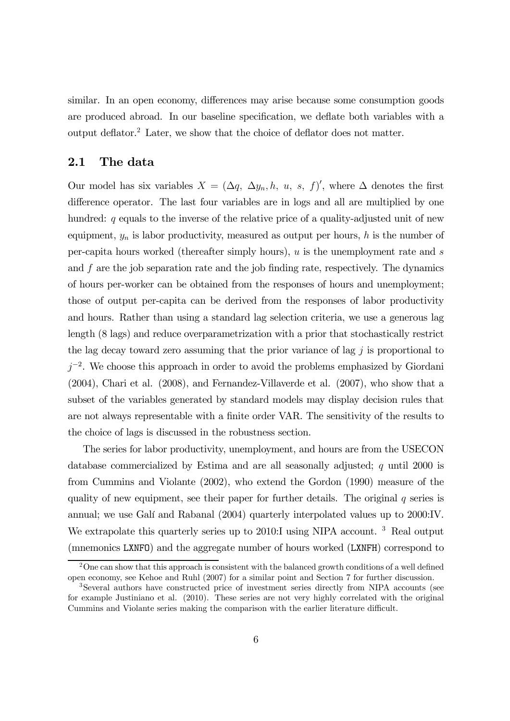similar. In an open economy, differences may arise because some consumption goods are produced abroad. In our baseline specification, we deflate both variables with a output deflator.2 Later, we show that the choice of deflator does not matter.

#### 2.1 The data

Our model has six variables  $X = (\Delta q, \Delta y_n, h, u, s, f)'$ , where  $\Delta$  denotes the first difference operator. The last four variables are in logs and all are multiplied by one hundred: q equals to the inverse of the relative price of a quality-adjusted unit of new equipment,  $y_n$  is labor productivity, measured as output per hours, h is the number of per-capita hours worked (thereafter simply hours), u is the unemployment rate and s and f are the job separation rate and the job finding rate, respectively. The dynamics of hours per-worker can be obtained from the responses of hours and unemployment; those of output per-capita can be derived from the responses of labor productivity and hours. Rather than using a standard lag selection criteria, we use a generous lag length (8 lags) and reduce overparametrization with a prior that stochastically restrict the lag decay toward zero assuming that the prior variance of lag  $j$  is proportional to  $j^{-2}$ . We choose this approach in order to avoid the problems emphasized by Giordani (2004), Chari et al. (2008), and Fernandez-Villaverde et al. (2007), who show that a subset of the variables generated by standard models may display decision rules that are not always representable with a finite order VAR. The sensitivity of the results to the choice of lags is discussed in the robustness section.

The series for labor productivity, unemployment, and hours are from the USECON database commercialized by Estima and are all seasonally adjusted; q until 2000 is from Cummins and Violante (2002), who extend the Gordon (1990) measure of the quality of new equipment, see their paper for further details. The original  $q$  series is annual; we use Galí and Rabanal (2004) quarterly interpolated values up to 2000:IV. We extrapolate this quarterly series up to 2010:I using NIPA account.<sup>3</sup> Real output (mnemonics LXNFO) and the aggregate number of hours worked (LXNFH) correspond to

<sup>&</sup>lt;sup>2</sup>One can show that this approach is consistent with the balanced growth conditions of a well defined open economy, see Kehoe and Ruhl (2007) for a similar point and Section 7 for further discussion.

<sup>3</sup>Several authors have constructed price of investment series directly from NIPA accounts (see for example Justiniano et al. (2010). These series are not very highly correlated with the original Cummins and Violante series making the comparison with the earlier literature difficult.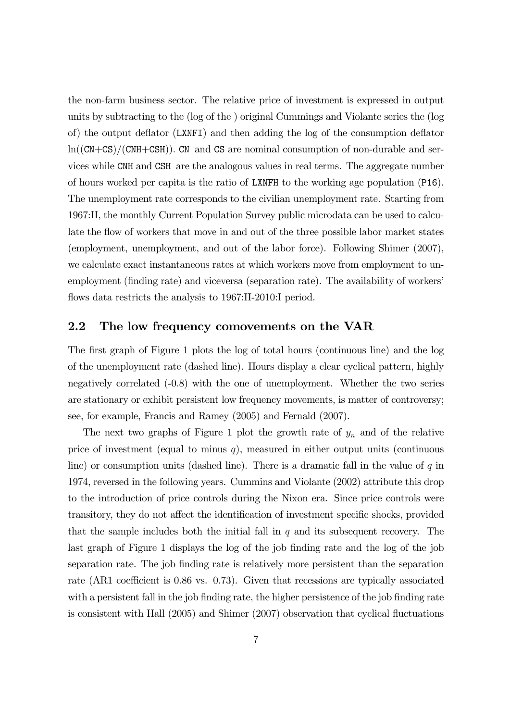the non-farm business sector. The relative price of investment is expressed in output units by subtracting to the (log of the ) original Cummings and Violante series the (log of) the output deflator (LXNFI) and then adding the log of the consumption deflator  $ln((CN+CS)/(CNH+CSH))$ . CN and CS are nominal consumption of non-durable and services while CNH and CSH are the analogous values in real terms. The aggregate number of hours worked per capita is the ratio of LXNFH to the working age population (P16). The unemployment rate corresponds to the civilian unemployment rate. Starting from 1967:II, the monthly Current Population Survey public microdata can be used to calculate the flow of workers that move in and out of the three possible labor market states (employment, unemployment, and out of the labor force). Following Shimer (2007), we calculate exact instantaneous rates at which workers move from employment to unemployment (finding rate) and viceversa (separation rate). The availability of workers' flows data restricts the analysis to 1967:II-2010:I period.

#### 2.2 The low frequency comovements on the VAR

The first graph of Figure 1 plots the log of total hours (continuous line) and the log of the unemployment rate (dashed line). Hours display a clear cyclical pattern, highly negatively correlated (-0.8) with the one of unemployment. Whether the two series are stationary or exhibit persistent low frequency movements, is matter of controversy; see, for example, Francis and Ramey (2005) and Fernald (2007).

The next two graphs of Figure 1 plot the growth rate of  $y_n$  and of the relative price of investment (equal to minus  $q$ ), measured in either output units (continuous line) or consumption units (dashed line). There is a dramatic fall in the value of  $q$  in 1974, reversed in the following years. Cummins and Violante (2002) attribute this drop to the introduction of price controls during the Nixon era. Since price controls were transitory, they do not affect the identification of investment specific shocks, provided that the sample includes both the initial fall in  $q$  and its subsequent recovery. The last graph of Figure 1 displays the log of the job finding rate and the log of the job separation rate. The job finding rate is relatively more persistent than the separation rate (AR1 coefficient is 0.86 vs. 0.73). Given that recessions are typically associated with a persistent fall in the job finding rate, the higher persistence of the job finding rate is consistent with Hall (2005) and Shimer (2007) observation that cyclical fluctuations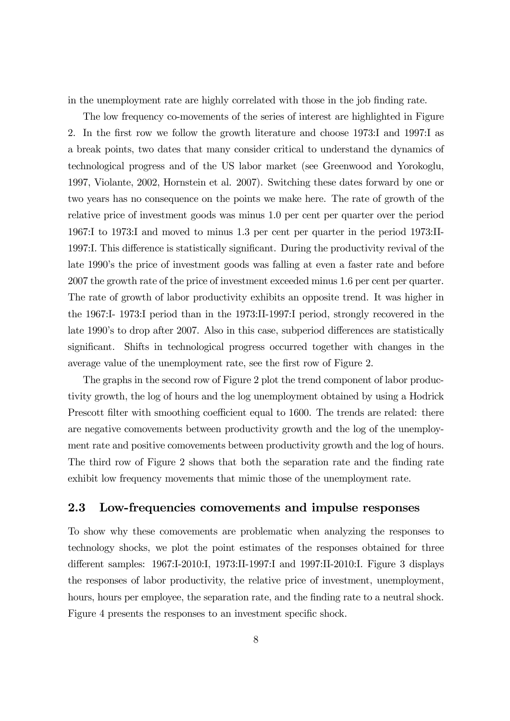in the unemployment rate are highly correlated with those in the job finding rate.

The low frequency co-movements of the series of interest are highlighted in Figure 2. In the first row we follow the growth literature and choose 1973:I and 1997:I as a break points, two dates that many consider critical to understand the dynamics of technological progress and of the US labor market (see Greenwood and Yorokoglu, 1997, Violante, 2002, Hornstein et al. 2007). Switching these dates forward by one or two years has no consequence on the points we make here. The rate of growth of the relative price of investment goods was minus 1.0 per cent per quarter over the period 1967:I to 1973:I and moved to minus 1.3 per cent per quarter in the period 1973:II-1997:I. This difference is statistically significant. During the productivity revival of the late 1990's the price of investment goods was falling at even a faster rate and before 2007 the growth rate of the price of investment exceeded minus 1.6 per cent per quarter. The rate of growth of labor productivity exhibits an opposite trend. It was higher in the 1967:I- 1973:I period than in the 1973:II-1997:I period, strongly recovered in the late 1990's to drop after 2007. Also in this case, subperiod differences are statistically significant. Shifts in technological progress occurred together with changes in the average value of the unemployment rate, see the first row of Figure 2.

The graphs in the second row of Figure 2 plot the trend component of labor productivity growth, the log of hours and the log unemployment obtained by using a Hodrick Prescott filter with smoothing coefficient equal to 1600. The trends are related: there are negative comovements between productivity growth and the log of the unemployment rate and positive comovements between productivity growth and the log of hours. The third row of Figure 2 shows that both the separation rate and the finding rate exhibit low frequency movements that mimic those of the unemployment rate.

#### 2.3 Low-frequencies comovements and impulse responses

To show why these comovements are problematic when analyzing the responses to technology shocks, we plot the point estimates of the responses obtained for three different samples: 1967:I-2010:I, 1973:II-1997:I and 1997:II-2010:I. Figure 3 displays the responses of labor productivity, the relative price of investment, unemployment, hours, hours per employee, the separation rate, and the finding rate to a neutral shock. Figure 4 presents the responses to an investment specific shock.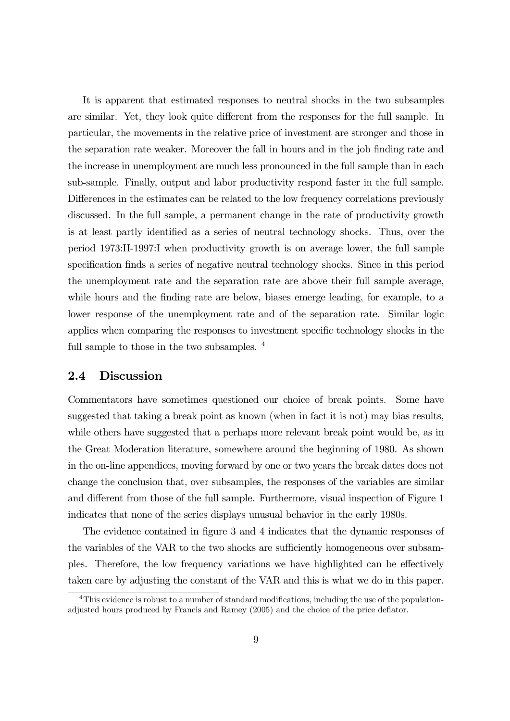It is apparent that estimated responses to neutral shocks in the two subsamples are similar. Yet, they look quite different from the responses for the full sample. In particular, the movements in the relative price of investment are stronger and those in the separation rate weaker. Moreover the fall in hours and in the job finding rate and the increase in unemployment are much less pronounced in the full sample than in each sub-sample. Finally, output and labor productivity respond faster in the full sample. Differences in the estimates can be related to the low frequency correlations previously discussed. In the full sample, a permanent change in the rate of productivity growth is at least partly identified as a series of neutral technology shocks. Thus, over the period 1973:II-1997:I when productivity growth is on average lower, the full sample specification finds a series of negative neutral technology shocks. Since in this period the unemployment rate and the separation rate are above their full sample average, while hours and the finding rate are below, biases emerge leading, for example, to a lower response of the unemployment rate and of the separation rate. Similar logic applies when comparing the responses to investment specific technology shocks in the full sample to those in the two subsamples.  $4$ 

#### 2.4 Discussion

Commentators have sometimes questioned our choice of break points. Some have suggested that taking a break point as known (when in fact it is not) may bias results, while others have suggested that a perhaps more relevant break point would be, as in the Great Moderation literature, somewhere around the beginning of 1980. As shown in the on-line appendices, moving forward by one or two years the break dates does not change the conclusion that, over subsamples, the responses of the variables are similar and different from those of the full sample. Furthermore, visual inspection of Figure 1 indicates that none of the series displays unusual behavior in the early 1980s.

The evidence contained in figure 3 and 4 indicates that the dynamic responses of the variables of the VAR to the two shocks are sufficiently homogeneous over subsamples. Therefore, the low frequency variations we have highlighted can be effectively taken care by adjusting the constant of the VAR and this is what we do in this paper.

<sup>&</sup>lt;sup>4</sup>This evidence is robust to a number of standard modifications, including the use of the populationadjusted hours produced by Francis and Ramey (2005) and the choice of the price deflator.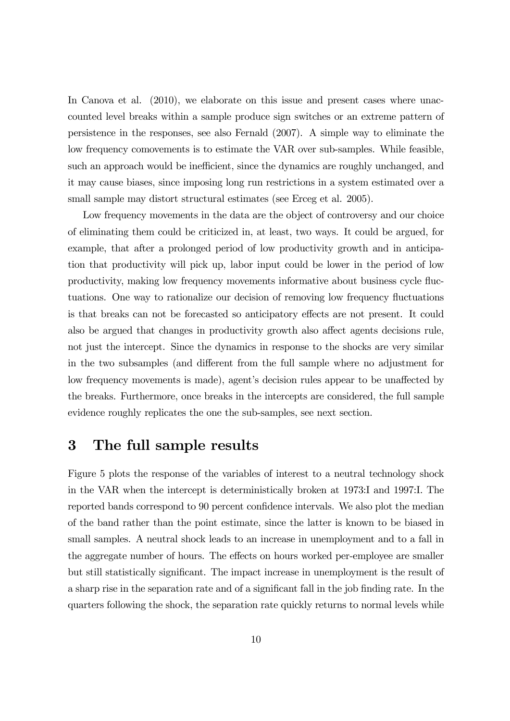In Canova et al. (2010), we elaborate on this issue and present cases where unaccounted level breaks within a sample produce sign switches or an extreme pattern of persistence in the responses, see also Fernald (2007). A simple way to eliminate the low frequency comovements is to estimate the VAR over sub-samples. While feasible, such an approach would be inefficient, since the dynamics are roughly unchanged, and it may cause biases, since imposing long run restrictions in a system estimated over a small sample may distort structural estimates (see Erceg et al. 2005).

Low frequency movements in the data are the object of controversy and our choice of eliminating them could be criticized in, at least, two ways. It could be argued, for example, that after a prolonged period of low productivity growth and in anticipation that productivity will pick up, labor input could be lower in the period of low productivity, making low frequency movements informative about business cycle fluctuations. One way to rationalize our decision of removing low frequency fluctuations is that breaks can not be forecasted so anticipatory effects are not present. It could also be argued that changes in productivity growth also affect agents decisions rule, not just the intercept. Since the dynamics in response to the shocks are very similar in the two subsamples (and different from the full sample where no adjustment for low frequency movements is made), agent's decision rules appear to be unaffected by the breaks. Furthermore, once breaks in the intercepts are considered, the full sample evidence roughly replicates the one the sub-samples, see next section.

### 3 The full sample results

Figure 5 plots the response of the variables of interest to a neutral technology shock in the VAR when the intercept is deterministically broken at 1973:I and 1997:I. The reported bands correspond to 90 percent confidence intervals. We also plot the median of the band rather than the point estimate, since the latter is known to be biased in small samples. A neutral shock leads to an increase in unemployment and to a fall in the aggregate number of hours. The effects on hours worked per-employee are smaller but still statistically significant. The impact increase in unemployment is the result of a sharp rise in the separation rate and of a significant fall in the job finding rate. In the quarters following the shock, the separation rate quickly returns to normal levels while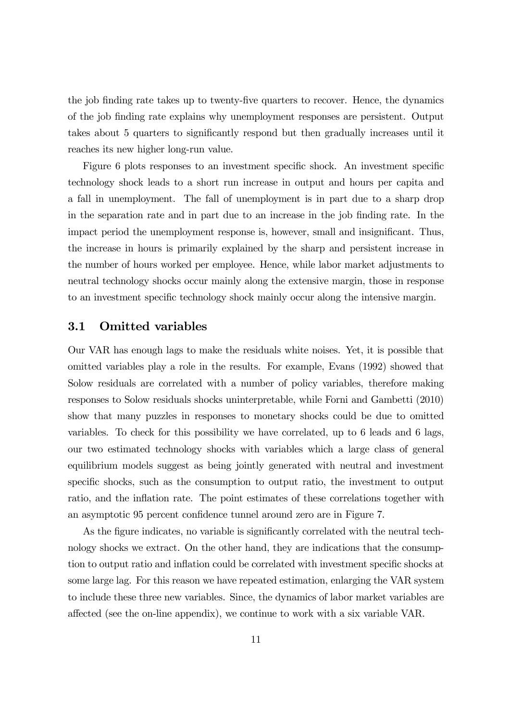the job finding rate takes up to twenty-five quarters to recover. Hence, the dynamics of the job finding rate explains why unemployment responses are persistent. Output takes about 5 quarters to significantly respond but then gradually increases until it reaches its new higher long-run value.

Figure 6 plots responses to an investment specific shock. An investment specific technology shock leads to a short run increase in output and hours per capita and a fall in unemployment. The fall of unemployment is in part due to a sharp drop in the separation rate and in part due to an increase in the job finding rate. In the impact period the unemployment response is, however, small and insignificant. Thus, the increase in hours is primarily explained by the sharp and persistent increase in the number of hours worked per employee. Hence, while labor market adjustments to neutral technology shocks occur mainly along the extensive margin, those in response to an investment specific technology shock mainly occur along the intensive margin.

#### 3.1 Omitted variables

Our VAR has enough lags to make the residuals white noises. Yet, it is possible that omitted variables play a role in the results. For example, Evans (1992) showed that Solow residuals are correlated with a number of policy variables, therefore making responses to Solow residuals shocks uninterpretable, while Forni and Gambetti (2010) show that many puzzles in responses to monetary shocks could be due to omitted variables. To check for this possibility we have correlated, up to 6 leads and 6 lags, our two estimated technology shocks with variables which a large class of general equilibrium models suggest as being jointly generated with neutral and investment specific shocks, such as the consumption to output ratio, the investment to output ratio, and the inflation rate. The point estimates of these correlations together with an asymptotic 95 percent confidence tunnel around zero are in Figure 7.

As the figure indicates, no variable is significantly correlated with the neutral technology shocks we extract. On the other hand, they are indications that the consumption to output ratio and inflation could be correlated with investment specific shocks at some large lag. For this reason we have repeated estimation, enlarging the VAR system to include these three new variables. Since, the dynamics of labor market variables are affected (see the on-line appendix), we continue to work with a six variable VAR.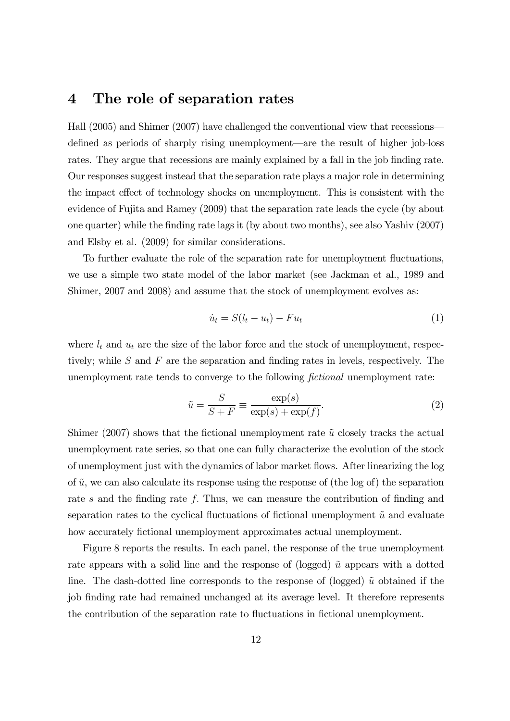#### 4 The role of separation rates

Hall (2005) and Shimer (2007) have challenged the conventional view that recessions– defined as periods of sharply rising unemployment–are the result of higher job-loss rates. They argue that recessions are mainly explained by a fall in the job finding rate. Our responses suggest instead that the separation rate plays a major role in determining the impact effect of technology shocks on unemployment. This is consistent with the evidence of Fujita and Ramey (2009) that the separation rate leads the cycle (by about one quarter) while the finding rate lags it (by about two months), see also Yashiv (2007) and Elsby et al. (2009) for similar considerations.

To further evaluate the role of the separation rate for unemployment fluctuations, we use a simple two state model of the labor market (see Jackman et al., 1989 and Shimer, 2007 and 2008) and assume that the stock of unemployment evolves as:

$$
\dot{u}_t = S(l_t - u_t) - Fu_t \tag{1}
$$

where  $l_t$  and  $u_t$  are the size of the labor force and the stock of unemployment, respectively; while  $S$  and  $F$  are the separation and finding rates in levels, respectively. The unemployment rate tends to converge to the following *fictional* unemployment rate:

$$
\tilde{u} = \frac{S}{S + F} \equiv \frac{\exp(s)}{\exp(s) + \exp(f)}.\tag{2}
$$

Shimer (2007) shows that the fictional unemployment rate  $\tilde{u}$  closely tracks the actual unemployment rate series, so that one can fully characterize the evolution of the stock of unemployment just with the dynamics of labor market flows. After linearizing the log of  $\tilde{u}$ , we can also calculate its response using the response of (the log of) the separation rate s and the finding rate f. Thus, we can measure the contribution of finding and separation rates to the cyclical fluctuations of fictional unemployment  $\tilde{u}$  and evaluate how accurately fictional unemployment approximates actual unemployment.

Figure 8 reports the results. In each panel, the response of the true unemployment rate appears with a solid line and the response of (logged)  $\tilde{u}$  appears with a dotted line. The dash-dotted line corresponds to the response of (logged)  $\tilde{u}$  obtained if the job finding rate had remained unchanged at its average level. It therefore represents the contribution of the separation rate to fluctuations in fictional unemployment.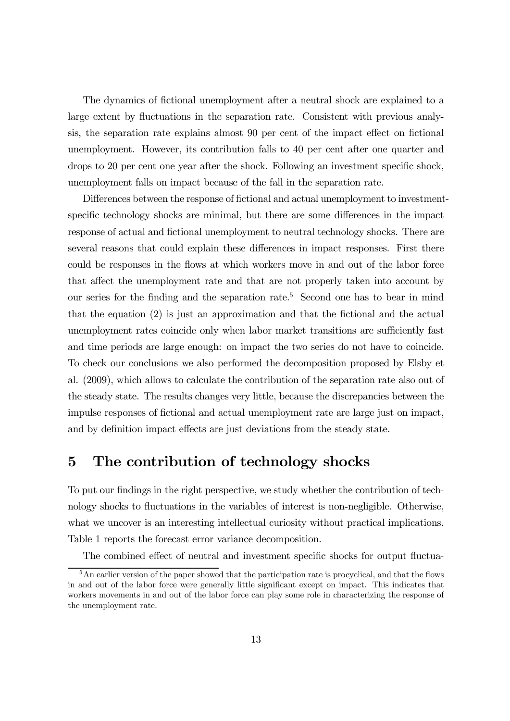The dynamics of fictional unemployment after a neutral shock are explained to a large extent by fluctuations in the separation rate. Consistent with previous analysis, the separation rate explains almost 90 per cent of the impact effect on fictional unemployment. However, its contribution falls to 40 per cent after one quarter and drops to 20 per cent one year after the shock. Following an investment specific shock, unemployment falls on impact because of the fall in the separation rate.

Differences between the response of fictional and actual unemployment to investmentspecific technology shocks are minimal, but there are some differences in the impact response of actual and fictional unemployment to neutral technology shocks. There are several reasons that could explain these differences in impact responses. First there could be responses in the flows at which workers move in and out of the labor force that affect the unemployment rate and that are not properly taken into account by our series for the finding and the separation rate.5 Second one has to bear in mind that the equation (2) is just an approximation and that the fictional and the actual unemployment rates coincide only when labor market transitions are sufficiently fast and time periods are large enough: on impact the two series do not have to coincide. To check our conclusions we also performed the decomposition proposed by Elsby et al. (2009), which allows to calculate the contribution of the separation rate also out of the steady state. The results changes very little, because the discrepancies between the impulse responses of fictional and actual unemployment rate are large just on impact, and by definition impact effects are just deviations from the steady state.

### 5 The contribution of technology shocks

To put our findings in the right perspective, we study whether the contribution of technology shocks to fluctuations in the variables of interest is non-negligible. Otherwise, what we uncover is an interesting intellectual curiosity without practical implications. Table 1 reports the forecast error variance decomposition.

The combined effect of neutral and investment specific shocks for output fluctua-

<sup>&</sup>lt;sup>5</sup>An earlier version of the paper showed that the participation rate is procyclical, and that the flows in and out of the labor force were generally little significant except on impact. This indicates that workers movements in and out of the labor force can play some role in characterizing the response of the unemployment rate.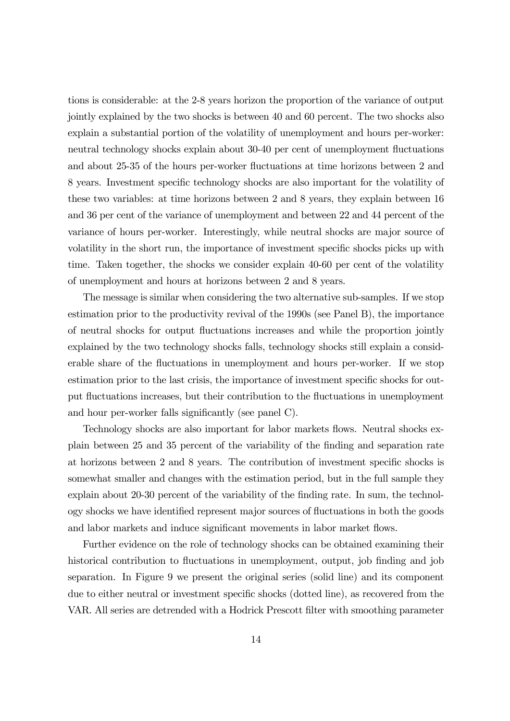tions is considerable: at the 2-8 years horizon the proportion of the variance of output jointly explained by the two shocks is between 40 and 60 percent. The two shocks also explain a substantial portion of the volatility of unemployment and hours per-worker: neutral technology shocks explain about 30-40 per cent of unemployment fluctuations and about 25-35 of the hours per-worker fluctuations at time horizons between 2 and 8 years. Investment specific technology shocks are also important for the volatility of these two variables: at time horizons between 2 and 8 years, they explain between 16 and 36 per cent of the variance of unemployment and between 22 and 44 percent of the variance of hours per-worker. Interestingly, while neutral shocks are major source of volatility in the short run, the importance of investment specific shocks picks up with time. Taken together, the shocks we consider explain 40-60 per cent of the volatility of unemployment and hours at horizons between 2 and 8 years.

The message is similar when considering the two alternative sub-samples. If we stop estimation prior to the productivity revival of the 1990s (see Panel B), the importance of neutral shocks for output fluctuations increases and while the proportion jointly explained by the two technology shocks falls, technology shocks still explain a considerable share of the fluctuations in unemployment and hours per-worker. If we stop estimation prior to the last crisis, the importance of investment specific shocks for output fluctuations increases, but their contribution to the fluctuations in unemployment and hour per-worker falls significantly (see panel C).

Technology shocks are also important for labor markets flows. Neutral shocks explain between 25 and 35 percent of the variability of the finding and separation rate at horizons between 2 and 8 years. The contribution of investment specific shocks is somewhat smaller and changes with the estimation period, but in the full sample they explain about 20-30 percent of the variability of the finding rate. In sum, the technology shocks we have identified represent major sources of fluctuations in both the goods and labor markets and induce significant movements in labor market flows.

Further evidence on the role of technology shocks can be obtained examining their historical contribution to fluctuations in unemployment, output, job finding and job separation. In Figure 9 we present the original series (solid line) and its component due to either neutral or investment specific shocks (dotted line), as recovered from the VAR. All series are detrended with a Hodrick Prescott filter with smoothing parameter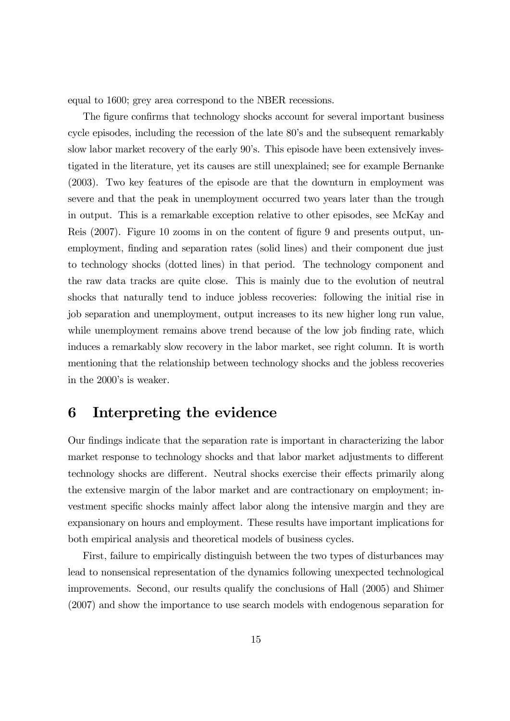equal to 1600; grey area correspond to the NBER recessions.

The figure confirms that technology shocks account for several important business cycle episodes, including the recession of the late 80's and the subsequent remarkably slow labor market recovery of the early 90's. This episode have been extensively investigated in the literature, yet its causes are still unexplained; see for example Bernanke (2003). Two key features of the episode are that the downturn in employment was severe and that the peak in unemployment occurred two years later than the trough in output. This is a remarkable exception relative to other episodes, see McKay and Reis (2007). Figure 10 zooms in on the content of figure 9 and presents output, unemployment, finding and separation rates (solid lines) and their component due just to technology shocks (dotted lines) in that period. The technology component and the raw data tracks are quite close. This is mainly due to the evolution of neutral shocks that naturally tend to induce jobless recoveries: following the initial rise in job separation and unemployment, output increases to its new higher long run value, while unemployment remains above trend because of the low job finding rate, which induces a remarkably slow recovery in the labor market, see right column. It is worth mentioning that the relationship between technology shocks and the jobless recoveries in the 2000's is weaker.

## 6 Interpreting the evidence

Our findings indicate that the separation rate is important in characterizing the labor market response to technology shocks and that labor market adjustments to different technology shocks are different. Neutral shocks exercise their effects primarily along the extensive margin of the labor market and are contractionary on employment; investment specific shocks mainly affect labor along the intensive margin and they are expansionary on hours and employment. These results have important implications for both empirical analysis and theoretical models of business cycles.

First, failure to empirically distinguish between the two types of disturbances may lead to nonsensical representation of the dynamics following unexpected technological improvements. Second, our results qualify the conclusions of Hall (2005) and Shimer (2007) and show the importance to use search models with endogenous separation for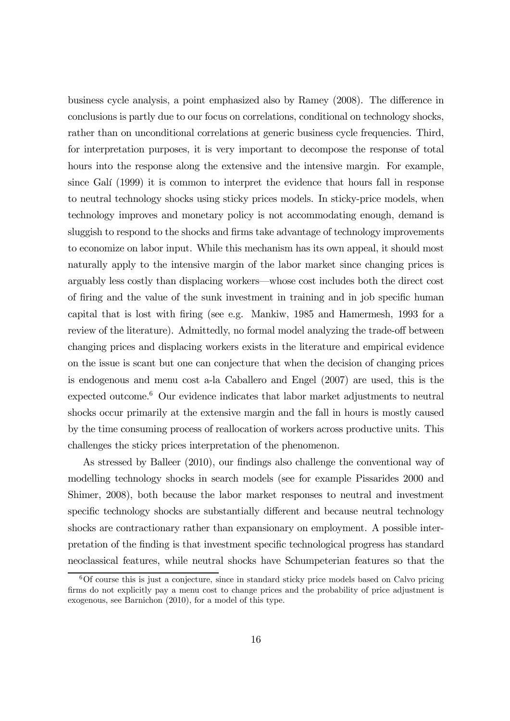business cycle analysis, a point emphasized also by Ramey (2008). The difference in conclusions is partly due to our focus on correlations, conditional on technology shocks, rather than on unconditional correlations at generic business cycle frequencies. Third, for interpretation purposes, it is very important to decompose the response of total hours into the response along the extensive and the intensive margin. For example, since Galí (1999) it is common to interpret the evidence that hours fall in response to neutral technology shocks using sticky prices models. In sticky-price models, when technology improves and monetary policy is not accommodating enough, demand is sluggish to respond to the shocks and firms take advantage of technology improvements to economize on labor input. While this mechanism has its own appeal, it should most naturally apply to the intensive margin of the labor market since changing prices is arguably less costly than displacing workers–whose cost includes both the direct cost of firing and the value of the sunk investment in training and in job specific human capital that is lost with firing (see e.g. Mankiw, 1985 and Hamermesh, 1993 for a review of the literature). Admittedly, no formal model analyzing the trade-off between changing prices and displacing workers exists in the literature and empirical evidence on the issue is scant but one can conjecture that when the decision of changing prices is endogenous and menu cost a-la Caballero and Engel (2007) are used, this is the expected outcome. $6$  Our evidence indicates that labor market adjustments to neutral shocks occur primarily at the extensive margin and the fall in hours is mostly caused by the time consuming process of reallocation of workers across productive units. This challenges the sticky prices interpretation of the phenomenon.

As stressed by Balleer (2010), our findings also challenge the conventional way of modelling technology shocks in search models (see for example Pissarides 2000 and Shimer, 2008), both because the labor market responses to neutral and investment specific technology shocks are substantially different and because neutral technology shocks are contractionary rather than expansionary on employment. A possible interpretation of the finding is that investment specific technological progress has standard neoclassical features, while neutral shocks have Schumpeterian features so that the

 $6$ Of course this is just a conjecture, since in standard sticky price models based on Calvo pricing firms do not explicitly pay a menu cost to change prices and the probability of price adjustment is exogenous, see Barnichon (2010), for a model of this type.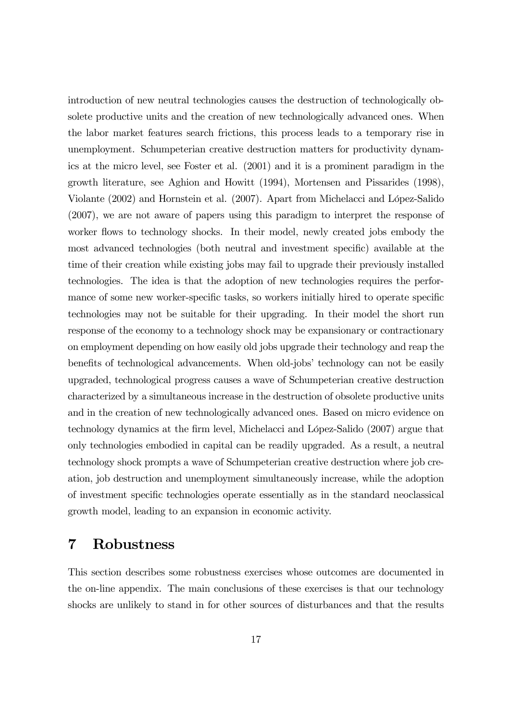introduction of new neutral technologies causes the destruction of technologically obsolete productive units and the creation of new technologically advanced ones. When the labor market features search frictions, this process leads to a temporary rise in unemployment. Schumpeterian creative destruction matters for productivity dynamics at the micro level, see Foster et al. (2001) and it is a prominent paradigm in the growth literature, see Aghion and Howitt (1994), Mortensen and Pissarides (1998), Violante (2002) and Hornstein et al. (2007). Apart from Michelacci and López-Salido (2007), we are not aware of papers using this paradigm to interpret the response of worker flows to technology shocks. In their model, newly created jobs embody the most advanced technologies (both neutral and investment specific) available at the time of their creation while existing jobs may fail to upgrade their previously installed technologies. The idea is that the adoption of new technologies requires the performance of some new worker-specific tasks, so workers initially hired to operate specific technologies may not be suitable for their upgrading. In their model the short run response of the economy to a technology shock may be expansionary or contractionary on employment depending on how easily old jobs upgrade their technology and reap the benefits of technological advancements. When old-jobs' technology can not be easily upgraded, technological progress causes a wave of Schumpeterian creative destruction characterized by a simultaneous increase in the destruction of obsolete productive units and in the creation of new technologically advanced ones. Based on micro evidence on technology dynamics at the firm level, Michelacci and López-Salido (2007) argue that only technologies embodied in capital can be readily upgraded. As a result, a neutral technology shock prompts a wave of Schumpeterian creative destruction where job creation, job destruction and unemployment simultaneously increase, while the adoption of investment specific technologies operate essentially as in the standard neoclassical growth model, leading to an expansion in economic activity.

### 7 Robustness

This section describes some robustness exercises whose outcomes are documented in the on-line appendix. The main conclusions of these exercises is that our technology shocks are unlikely to stand in for other sources of disturbances and that the results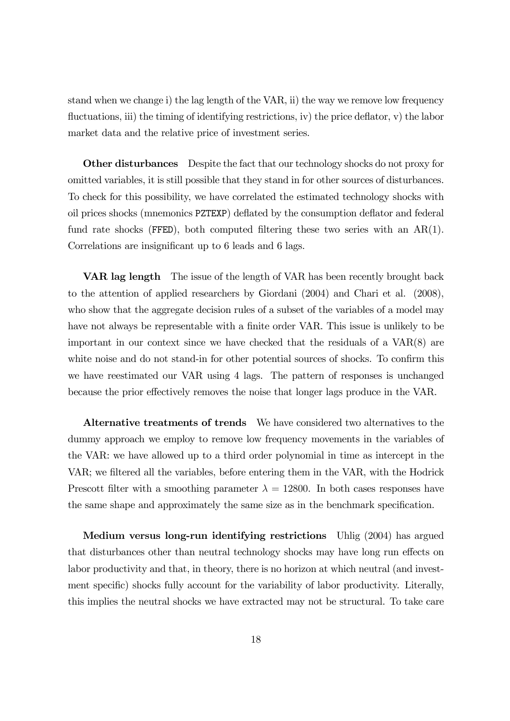stand when we change i) the lag length of the VAR, ii) the way we remove low frequency fluctuations, iii) the timing of identifying restrictions, iv) the price deflator, v) the labor market data and the relative price of investment series.

**Other disturbances** Despite the fact that our technology shocks do not proxy for omitted variables, it is still possible that they stand in for other sources of disturbances. To check for this possibility, we have correlated the estimated technology shocks with oil prices shocks (mnemonics PZTEXP) deflated by the consumption deflator and federal fund rate shocks (FFED), both computed filtering these two series with an  $AR(1)$ . Correlations are insignificant up to 6 leads and 6 lags.

VAR lag length The issue of the length of VAR has been recently brought back to the attention of applied researchers by Giordani (2004) and Chari et al. (2008), who show that the aggregate decision rules of a subset of the variables of a model may have not always be representable with a finite order VAR. This issue is unlikely to be important in our context since we have checked that the residuals of a VAR(8) are white noise and do not stand-in for other potential sources of shocks. To confirm this we have reestimated our VAR using 4 lags. The pattern of responses is unchanged because the prior effectively removes the noise that longer lags produce in the VAR.

Alternative treatments of trends We have considered two alternatives to the dummy approach we employ to remove low frequency movements in the variables of the VAR: we have allowed up to a third order polynomial in time as intercept in the VAR; we filtered all the variables, before entering them in the VAR, with the Hodrick Prescott filter with a smoothing parameter  $\lambda = 12800$ . In both cases responses have the same shape and approximately the same size as in the benchmark specification.

Medium versus long-run identifying restrictions Uhlig (2004) has argued that disturbances other than neutral technology shocks may have long run effects on labor productivity and that, in theory, there is no horizon at which neutral (and investment specific) shocks fully account for the variability of labor productivity. Literally, this implies the neutral shocks we have extracted may not be structural. To take care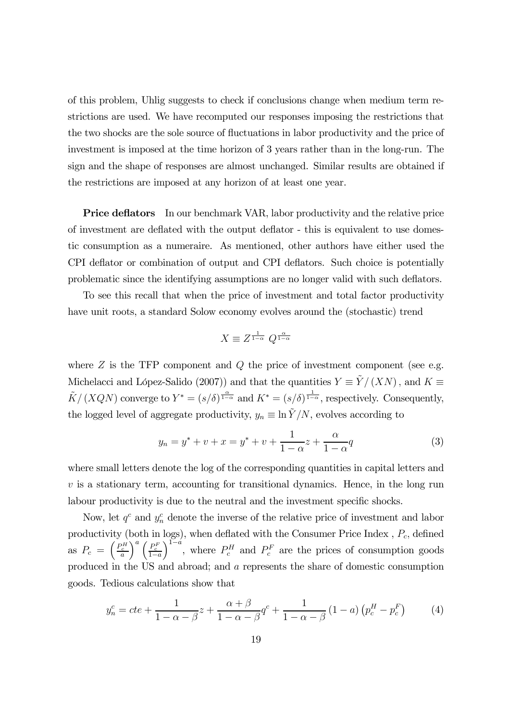of this problem, Uhlig suggests to check if conclusions change when medium term restrictions are used. We have recomputed our responses imposing the restrictions that the two shocks are the sole source of fluctuations in labor productivity and the price of investment is imposed at the time horizon of 3 years rather than in the long-run. The sign and the shape of responses are almost unchanged. Similar results are obtained if the restrictions are imposed at any horizon of at least one year.

**Price deflators** In our benchmark VAR, labor productivity and the relative price of investment are deflated with the output deflator - this is equivalent to use domestic consumption as a numeraire. As mentioned, other authors have either used the CPI deflator or combination of output and CPI deflators. Such choice is potentially problematic since the identifying assumptions are no longer valid with such deflators.

To see this recall that when the price of investment and total factor productivity have unit roots, a standard Solow economy evolves around the (stochastic) trend

$$
X \equiv Z^{\frac{1}{1-\alpha}} Q^{\frac{\alpha}{1-\alpha}}
$$

where  $Z$  is the TFP component and  $Q$  the price of investment component (see e.g. Michelacci and López-Salido (2007)) and that the quantities  $Y = \tilde{Y}/(XN)$ , and  $K \equiv$  $\tilde{K}/(XQN)$  converge to  $Y^* = (s/\delta)^{\frac{\alpha}{1-\alpha}}$  and  $K^* = (s/\delta)^{\frac{1}{1-\alpha}}$ , respectively. Consequently, the logged level of aggregate productivity,  $y_n \equiv \ln \tilde{Y}/N$ , evolves according to

$$
y_n = y^* + v + x = y^* + v + \frac{1}{1 - \alpha}z + \frac{\alpha}{1 - \alpha}q
$$
 (3)

where small letters denote the log of the corresponding quantities in capital letters and  $v$  is a stationary term, accounting for transitional dynamics. Hence, in the long run labour productivity is due to the neutral and the investment specific shocks.

Now, let  $q^c$  and  $y^c_n$  denote the inverse of the relative price of investment and labor productivity (both in logs), when deflated with the Consumer Price Index,  $P_c$ , defined as  $P_c = \left(\frac{P_c^H}{a}\right)^2$  $\bigg)^a \left(\frac{P_c^F}{1-a}\right)$  $\int_{0}^{1-\hat{a}}$ , where  $P_c^H$  and  $P_c^F$  are the prices of consumption goods produced in the US and abroad; and a represents the share of domestic consumption goods. Tedious calculations show that

$$
y_n^c = cte + \frac{1}{1 - \alpha - \beta}z + \frac{\alpha + \beta}{1 - \alpha - \beta}q^c + \frac{1}{1 - \alpha - \beta}(1 - a)\left(p_c^H - p_c^F\right) \tag{4}
$$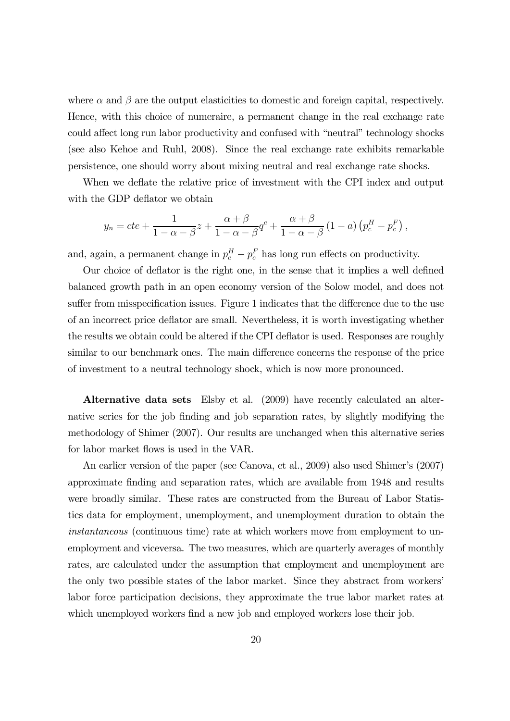where  $\alpha$  and  $\beta$  are the output elasticities to domestic and foreign capital, respectively. Hence, with this choice of numeraire, a permanent change in the real exchange rate could affect long run labor productivity and confused with "neutral" technology shocks (see also Kehoe and Ruhl, 2008). Since the real exchange rate exhibits remarkable persistence, one should worry about mixing neutral and real exchange rate shocks.

When we deflate the relative price of investment with the CPI index and output with the GDP deflator we obtain

$$
y_n = cte + \frac{1}{1 - \alpha - \beta}z + \frac{\alpha + \beta}{1 - \alpha - \beta}q^c + \frac{\alpha + \beta}{1 - \alpha - \beta}(1 - a)\left(p_c^H - p_c^F\right),
$$

and, again, a permanent change in  $p_c^H - p_c^F$  has long run effects on productivity.

Our choice of deflator is the right one, in the sense that it implies a well defined balanced growth path in an open economy version of the Solow model, and does not suffer from misspecification issues. Figure 1 indicates that the difference due to the use of an incorrect price deflator are small. Nevertheless, it is worth investigating whether the results we obtain could be altered if the CPI deflator is used. Responses are roughly similar to our benchmark ones. The main difference concerns the response of the price of investment to a neutral technology shock, which is now more pronounced.

Alternative data sets Elsby et al. (2009) have recently calculated an alternative series for the job finding and job separation rates, by slightly modifying the methodology of Shimer (2007). Our results are unchanged when this alternative series for labor market flows is used in the VAR.

An earlier version of the paper (see Canova, et al., 2009) also used Shimer's (2007) approximate finding and separation rates, which are available from 1948 and results were broadly similar. These rates are constructed from the Bureau of Labor Statistics data for employment, unemployment, and unemployment duration to obtain the instantaneous (continuous time) rate at which workers move from employment to unemployment and viceversa. The two measures, which are quarterly averages of monthly rates, are calculated under the assumption that employment and unemployment are the only two possible states of the labor market. Since they abstract from workers' labor force participation decisions, they approximate the true labor market rates at which unemployed workers find a new job and employed workers lose their job.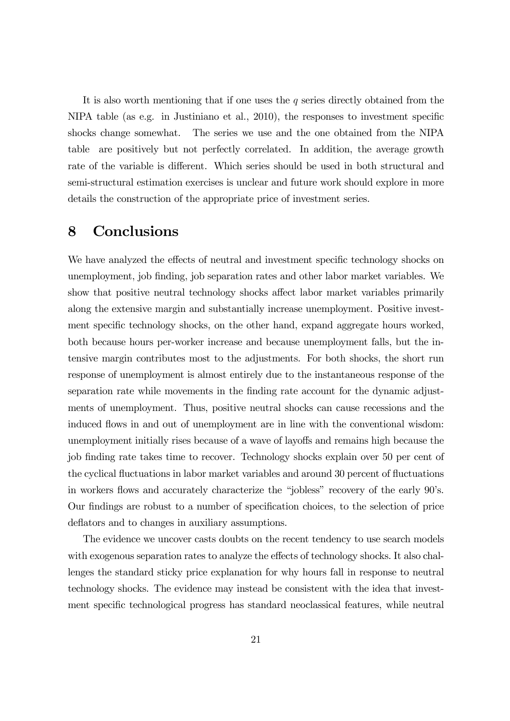It is also worth mentioning that if one uses the  $q$  series directly obtained from the NIPA table (as e.g. in Justiniano et al., 2010), the responses to investment specific shocks change somewhat. The series we use and the one obtained from the NIPA table are positively but not perfectly correlated. In addition, the average growth rate of the variable is different. Which series should be used in both structural and semi-structural estimation exercises is unclear and future work should explore in more details the construction of the appropriate price of investment series.

### 8 Conclusions

We have analyzed the effects of neutral and investment specific technology shocks on unemployment, job finding, job separation rates and other labor market variables. We show that positive neutral technology shocks affect labor market variables primarily along the extensive margin and substantially increase unemployment. Positive investment specific technology shocks, on the other hand, expand aggregate hours worked, both because hours per-worker increase and because unemployment falls, but the intensive margin contributes most to the adjustments. For both shocks, the short run response of unemployment is almost entirely due to the instantaneous response of the separation rate while movements in the finding rate account for the dynamic adjustments of unemployment. Thus, positive neutral shocks can cause recessions and the induced flows in and out of unemployment are in line with the conventional wisdom: unemployment initially rises because of a wave of layoffs and remains high because the job finding rate takes time to recover. Technology shocks explain over 50 per cent of the cyclical fluctuations in labor market variables and around 30 percent of fluctuations in workers flows and accurately characterize the "jobless" recovery of the early 90's. Our findings are robust to a number of specification choices, to the selection of price deflators and to changes in auxiliary assumptions.

The evidence we uncover casts doubts on the recent tendency to use search models with exogenous separation rates to analyze the effects of technology shocks. It also challenges the standard sticky price explanation for why hours fall in response to neutral technology shocks. The evidence may instead be consistent with the idea that investment specific technological progress has standard neoclassical features, while neutral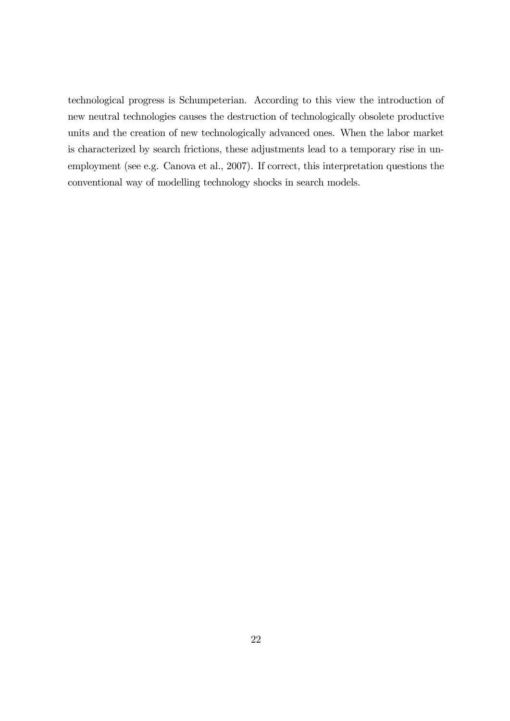technological progress is Schumpeterian. According to this view the introduction of new neutral technologies causes the destruction of technologically obsolete productive units and the creation of new technologically advanced ones. When the labor market is characterized by search frictions, these adjustments lead to a temporary rise in unemployment (see e.g. Canova et al., 2007). If correct, this interpretation questions the conventional way of modelling technology shocks in search models.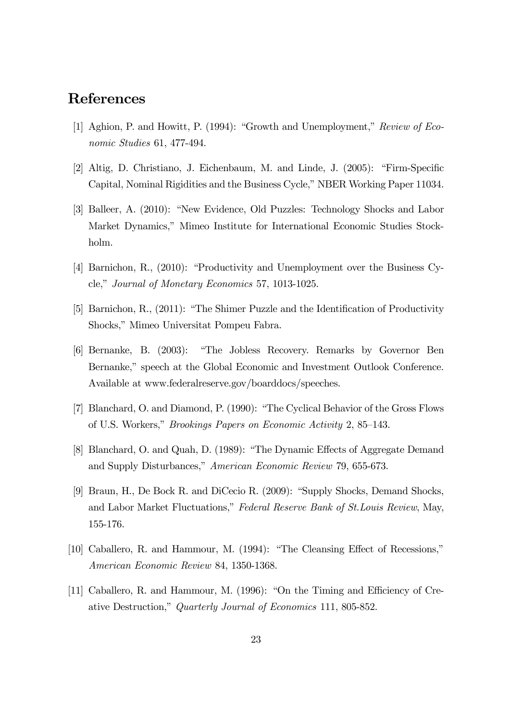### References

- [1] Aghion, P. and Howitt, P. (1994): "Growth and Unemployment," Review of Economic Studies 61, 477-494.
- [2] Altig, D. Christiano, J. Eichenbaum, M. and Linde, J. (2005): "Firm-Specific Capital, Nominal Rigidities and the Business Cycle," NBER Working Paper 11034.
- [3] Balleer, A. (2010): "New Evidence, Old Puzzles: Technology Shocks and Labor Market Dynamics," Mimeo Institute for International Economic Studies Stockholm.
- [4] Barnichon, R., (2010): "Productivity and Unemployment over the Business Cycle," Journal of Monetary Economics 57, 1013-1025.
- [5] Barnichon, R., (2011): "The Shimer Puzzle and the Identification of Productivity Shocks," Mimeo Universitat Pompeu Fabra.
- [6] Bernanke, B. (2003): "The Jobless Recovery. Remarks by Governor Ben Bernanke," speech at the Global Economic and Investment Outlook Conference. Available at www.federalreserve.gov/boarddocs/speeches.
- [7] Blanchard, O. and Diamond, P. (1990): "The Cyclical Behavior of the Gross Flows of U.S. Workers," Brookings Papers on Economic Activity 2, 85—143.
- [8] Blanchard, O. and Quah, D. (1989): "The Dynamic Effects of Aggregate Demand and Supply Disturbances," American Economic Review 79, 655-673.
- [9] Braun, H., De Bock R. and DiCecio R. (2009): "Supply Shocks, Demand Shocks, and Labor Market Fluctuations," Federal Reserve Bank of St.Louis Review, May, 155-176.
- [10] Caballero, R. and Hammour, M. (1994): "The Cleansing Effect of Recessions," American Economic Review 84, 1350-1368.
- [11] Caballero, R. and Hammour, M. (1996): "On the Timing and Efficiency of Creative Destruction," Quarterly Journal of Economics 111, 805-852.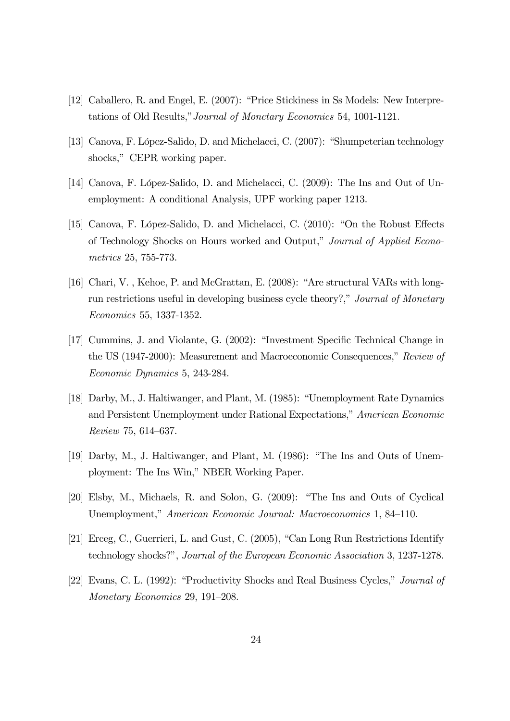- [12] Caballero, R. and Engel, E. (2007): "Price Stickiness in Ss Models: New Interpretations of Old Results,"Journal of Monetary Economics 54, 1001-1121.
- [13] Canova, F. López-Salido, D. and Michelacci, C. (2007): "Shumpeterian technology shocks," CEPR working paper.
- [14] Canova, F. López-Salido, D. and Michelacci, C. (2009): The Ins and Out of Unemployment: A conditional Analysis, UPF working paper 1213.
- [15] Canova, F. López-Salido, D. and Michelacci, C. (2010): "On the Robust Effects of Technology Shocks on Hours worked and Output," Journal of Applied Econometrics 25, 755-773.
- [16] Chari, V. , Kehoe, P. and McGrattan, E. (2008): "Are structural VARs with longrun restrictions useful in developing business cycle theory?," Journal of Monetary Economics 55, 1337-1352.
- [17] Cummins, J. and Violante, G. (2002): "Investment Specific Technical Change in the US (1947-2000): Measurement and Macroeconomic Consequences," Review of Economic Dynamics 5, 243-284.
- [18] Darby, M., J. Haltiwanger, and Plant, M. (1985): "Unemployment Rate Dynamics and Persistent Unemployment under Rational Expectations," American Economic Review 75, 614—637.
- [19] Darby, M., J. Haltiwanger, and Plant, M. (1986): "The Ins and Outs of Unemployment: The Ins Win," NBER Working Paper.
- [20] Elsby, M., Michaels, R. and Solon, G. (2009): "The Ins and Outs of Cyclical Unemployment," American Economic Journal: Macroeconomics 1, 84—110.
- [21] Erceg, C., Guerrieri, L. and Gust, C. (2005), "Can Long Run Restrictions Identify technology shocks?", Journal of the European Economic Association 3, 1237-1278.
- [22] Evans, C. L. (1992): "Productivity Shocks and Real Business Cycles," Journal of Monetary Economics 29, 191—208.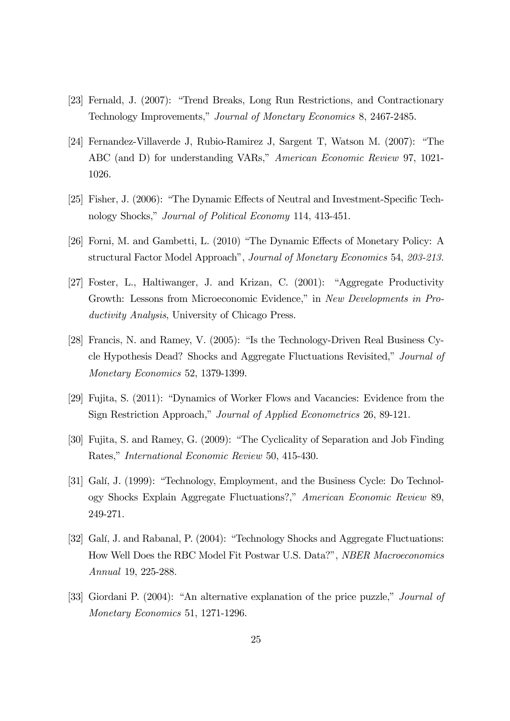- [23] Fernald, J. (2007): "Trend Breaks, Long Run Restrictions, and Contractionary Technology Improvements," Journal of Monetary Economics 8, 2467-2485.
- [24] Fernandez-Villaverde J, Rubio-Ramirez J, Sargent T, Watson M. (2007): "The ABC (and D) for understanding VARs," American Economic Review 97, 1021- 1026.
- [25] Fisher, J. (2006): "The Dynamic Effects of Neutral and Investment-Specific Technology Shocks," Journal of Political Economy 114, 413-451.
- [26] Forni, M. and Gambetti, L. (2010) "The Dynamic Effects of Monetary Policy: A structural Factor Model Approach", Journal of Monetary Economics 54, 203-213.
- [27] Foster, L., Haltiwanger, J. and Krizan, C. (2001): "Aggregate Productivity Growth: Lessons from Microeconomic Evidence," in New Developments in Productivity Analysis, University of Chicago Press.
- [28] Francis, N. and Ramey, V. (2005): "Is the Technology-Driven Real Business Cycle Hypothesis Dead? Shocks and Aggregate Fluctuations Revisited," Journal of Monetary Economics 52, 1379-1399.
- [29] Fujita, S. (2011): "Dynamics of Worker Flows and Vacancies: Evidence from the Sign Restriction Approach," Journal of Applied Econometrics 26, 89-121.
- [30] Fujita, S. and Ramey, G. (2009): "The Cyclicality of Separation and Job Finding Rates," International Economic Review 50, 415-430.
- [31] Galí, J. (1999): "Technology, Employment, and the Business Cycle: Do Technology Shocks Explain Aggregate Fluctuations?," American Economic Review 89, 249-271.
- [32] Galí, J. and Rabanal, P. (2004): "Technology Shocks and Aggregate Fluctuations: How Well Does the RBC Model Fit Postwar U.S. Data?", NBER Macroeconomics Annual 19, 225-288.
- [33] Giordani P. (2004): "An alternative explanation of the price puzzle," *Journal of* Monetary Economics 51, 1271-1296.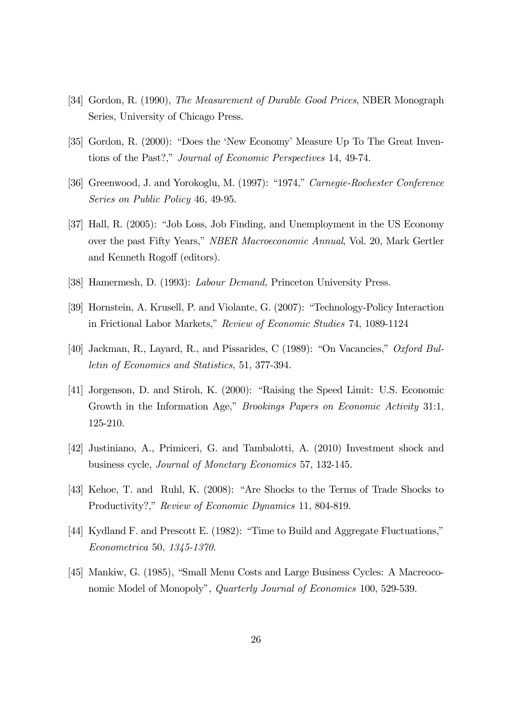- [34] Gordon, R. (1990), The Measurement of Durable Good Prices, NBER Monograph Series, University of Chicago Press.
- [35] Gordon, R. (2000): "Does the 'New Economy' Measure Up To The Great Inventions of the Past?," Journal of Economic Perspectives 14, 49-74.
- [36] Greenwood, J. and Yorokoglu, M. (1997): "1974," Carnegie-Rochester Conference Series on Public Policy 46, 49-95.
- [37] Hall, R. (2005): "Job Loss, Job Finding, and Unemployment in the US Economy over the past Fifty Years," NBER Macroeconomic Annual, Vol. 20, Mark Gertler and Kenneth Rogoff (editors).
- [38] Hamermesh, D. (1993): Labour Demand, Princeton University Press.
- [39] Hornstein, A. Krusell, P. and Violante, G. (2007): "Technology-Policy Interaction in Frictional Labor Markets," Review of Economic Studies 74, 1089-1124
- [40] Jackman, R., Layard, R., and Pissarides, C (1989): "On Vacancies," Oxford Bulletin of Economics and Statistics, 51, 377-394.
- [41] Jorgenson, D. and Stiroh, K. (2000): "Raising the Speed Limit: U.S. Economic Growth in the Information Age," Brookings Papers on Economic Activity 31:1, 125-210.
- [42] Justiniano, A., Primiceri, G. and Tambalotti, A. (2010) Investment shock and business cycle, Journal of Monetary Economics 57, 132-145.
- [43] Kehoe, T. and Ruhl, K. (2008): "Are Shocks to the Terms of Trade Shocks to Productivity?," Review of Economic Dynamics 11, 804-819.
- [44] Kydland F. and Prescott E. (1982): "Time to Build and Aggregate Fluctuations," Econometrica 50, 1345-1370.
- [45] Mankiw, G. (1985), "Small Menu Costs and Large Business Cycles: A Macreoconomic Model of Monopoly", Quarterly Journal of Economics 100, 529-539.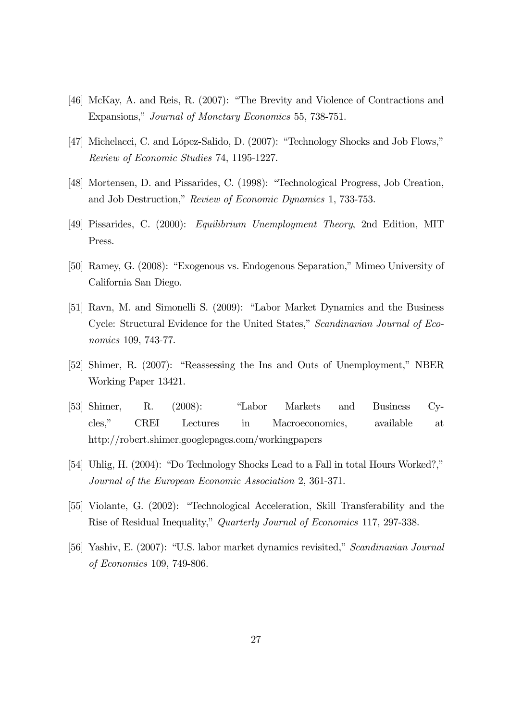- [46] McKay, A. and Reis, R. (2007): "The Brevity and Violence of Contractions and Expansions," Journal of Monetary Economics 55, 738-751.
- [47] Michelacci, C. and López-Salido, D. (2007): "Technology Shocks and Job Flows," Review of Economic Studies 74, 1195-1227.
- [48] Mortensen, D. and Pissarides, C. (1998): "Technological Progress, Job Creation, and Job Destruction," Review of Economic Dynamics 1, 733-753.
- [49] Pissarides, C. (2000): Equilibrium Unemployment Theory, 2nd Edition, MIT Press.
- [50] Ramey, G. (2008): "Exogenous vs. Endogenous Separation," Mimeo University of California San Diego.
- [51] Ravn, M. and Simonelli S. (2009): "Labor Market Dynamics and the Business Cycle: Structural Evidence for the United States," Scandinavian Journal of Economics 109, 743-77.
- [52] Shimer, R. (2007): "Reassessing the Ins and Outs of Unemployment," NBER Working Paper 13421.
- [53] Shimer, R. (2008): "Labor Markets and Business Cycles," CREI Lectures in Macroeconomics, available at http://robert.shimer.googlepages.com/workingpapers
- [54] Uhlig, H. (2004): "Do Technology Shocks Lead to a Fall in total Hours Worked?," Journal of the European Economic Association 2, 361-371.
- [55] Violante, G. (2002): "Technological Acceleration, Skill Transferability and the Rise of Residual Inequality," Quarterly Journal of Economics 117, 297-338.
- [56] Yashiv, E. (2007): "U.S. labor market dynamics revisited," Scandinavian Journal of Economics 109, 749-806.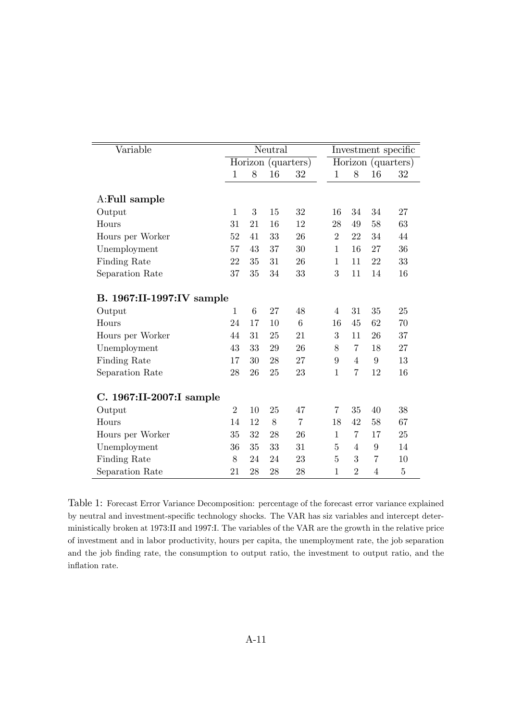| Variable                  | Neutral        |                    |    |                |                    | Investment specific |                |                |  |
|---------------------------|----------------|--------------------|----|----------------|--------------------|---------------------|----------------|----------------|--|
|                           |                | Horizon (quarters) |    |                | Horizon (quarters) |                     |                |                |  |
|                           | $\mathbf{1}$   | 8                  | 16 | 32             | $\mathbf{1}$       | 8                   | 16             | 32             |  |
| A:Full sample             |                |                    |    |                |                    |                     |                |                |  |
| Output                    | 1              | 3                  | 15 | 32             | 16                 | 34                  | 34             | 27             |  |
| Hours                     | 31             | 21                 | 16 | 12             | 28                 | 49                  | 58             | 63             |  |
| Hours per Worker          | 52             | 41                 | 33 | 26             | $\overline{2}$     | 22                  | 34             | 44             |  |
| Unemployment              | 57             | 43                 | 37 | 30             | $\mathbf{1}$       | 16                  | 27             | 36             |  |
| Finding Rate              | 22             | 35                 | 31 | 26             | $\mathbf{1}$       | 11                  | 22             | 33             |  |
| Separation Rate           | 37             | 35                 | 34 | 33             | 3                  | 11                  | 14             | 16             |  |
| B. 1967:II-1997:IV sample |                |                    |    |                |                    |                     |                |                |  |
| Output                    | 1              | 6                  | 27 | 48             | $\overline{4}$     | 31                  | 35             | 25             |  |
| Hours                     | 24             | 17                 | 10 | 6              | 16                 | 45                  | 62             | 70             |  |
| Hours per Worker          | 44             | 31                 | 25 | 21             | 3                  | 11                  | 26             | 37             |  |
| Unemployment              | 43             | 33                 | 29 | 26             | 8                  | 7                   | 18             | 27             |  |
| Finding Rate              | 17             | 30                 | 28 | 27             | 9                  | 4                   | 9              | 13             |  |
| Separation Rate           | 28             | 26                 | 25 | 23             | $\mathbf{1}$       | $\overline{7}$      | 12             | 16             |  |
| C. 1967:II-2007:I sample  |                |                    |    |                |                    |                     |                |                |  |
| Output                    | $\overline{2}$ | 10                 | 25 | 47             | $\overline{7}$     | 35                  | 40             | 38             |  |
| Hours                     | 14             | 12                 | 8  | $\overline{7}$ | 18                 | 42                  | 58             | 67             |  |
| Hours per Worker          | 35             | 32                 | 28 | 26             | $\mathbf{1}$       | 7                   | 17             | 25             |  |
| Unemployment              | 36             | 35                 | 33 | 31             | $\mathbf 5$        | $\overline{4}$      | $9\,$          | 14             |  |
| Finding Rate              | 8              | 24                 | 24 | 23             | $\overline{5}$     | 3                   | $\overline{7}$ | 10             |  |
| Separation Rate           | 21             | 28                 | 28 | 28             | $\mathbf{1}$       | $\overline{2}$      | $\overline{4}$ | $\overline{5}$ |  |

Table 1: Forecast Error Variance Decomposition: percentage of the forecast error variance explained by neutral and investment-specific technology shocks. The VAR has siz variables and intercept deterministically broken at 1973:II and 1997:I. The variables of the VAR are the growth in the relative price of investment and in labor productivity, hours per capita, the unemployment rate, the job separation and the job finding rate, the consumption to output ratio, the investment to output ratio, and the inflation rate.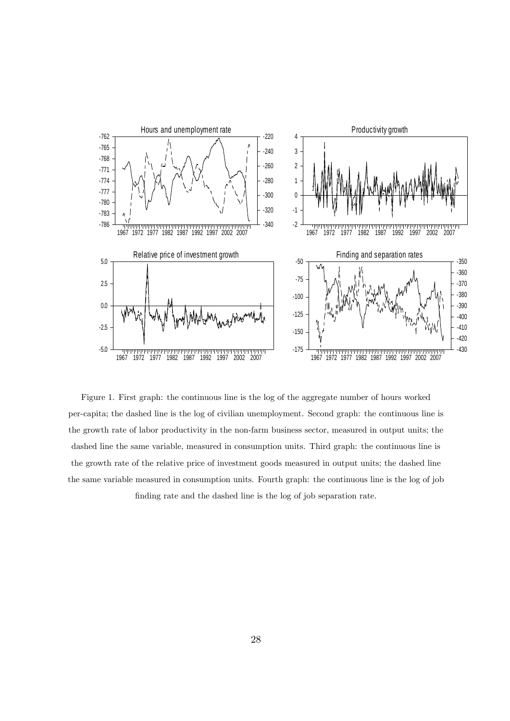

Figure 1. First graph: the continuous line is the log of the aggregate number of hours worked per-capita; the dashed line is the log of civilian unemployment. Second graph: the continuous line is the growth rate of labor productivity in the non-farm business sector, measured in output units; the dashed line the same variable, measured in consumption units. Third graph: the continuous line is the growth rate of the relative price of investment goods measured in output units; the dashed line the same variable measured in consumption units. Fourth graph: the continuous line is the log of job finding rate and the dashed line is the log of job separation rate.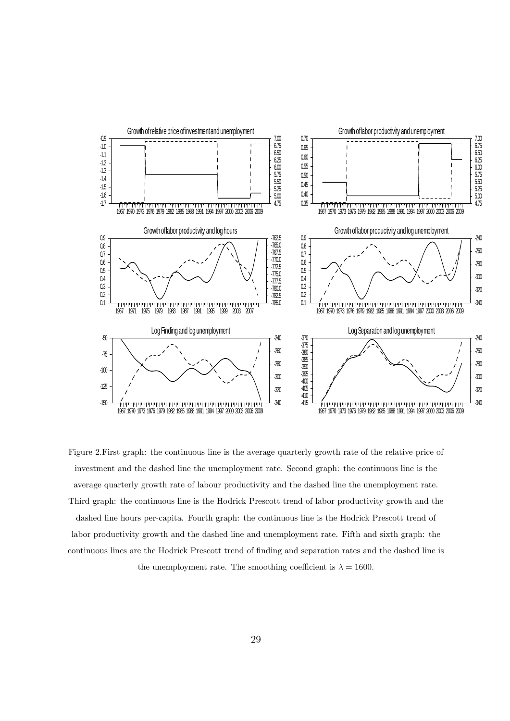

Figure 2.First graph: the continuous line is the average quarterly growth rate of the relative price of investment and the dashed line the unemployment rate. Second graph: the continuous line is the average quarterly growth rate of labour productivity and the dashed line the unemployment rate. Third graph: the continuous line is the Hodrick Prescott trend of labor productivity growth and the dashed line hours per-capita. Fourth graph: the continuous line is the Hodrick Prescott trend of labor productivity growth and the dashed line and unemployment rate. Fifth and sixth graph: the continuous lines are the Hodrick Prescott trend of finding and separation rates and the dashed line is the unemployment rate. The smoothing coefficient is  $\lambda = 1600$ .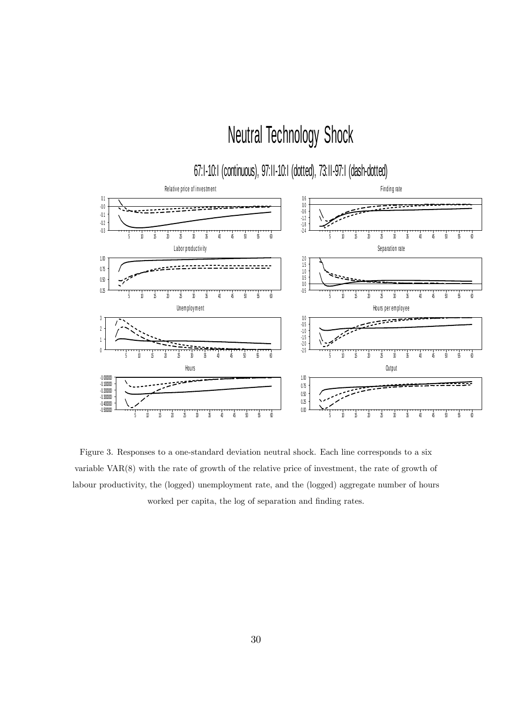# Neutral Technology Shock

## 67:I-10:I (continuous), 97:II-10:I (dotted), 73:II-97:I (dash-dotted)



Figure 3. Responses to a one-standard deviation neutral shock. Each line corresponds to a six variable VAR(8) with the rate of growth of the relative price of investment, the rate of growth of labour productivity, the (logged) unemployment rate, and the (logged) aggregate number of hours worked per capita, the log of separation and finding rates.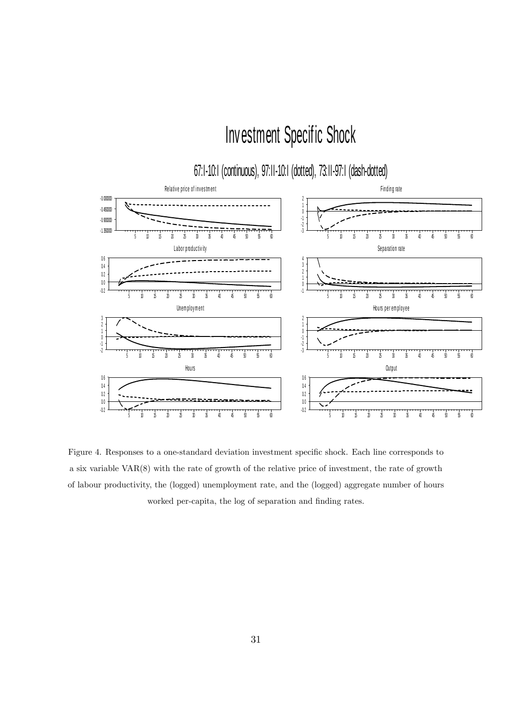# Inv estment Specif ic Shock

## 67:I-10:I (continuous), 97:II-10:I (dotted), 73:II-97:I (dash-dotted)



Figure 4. Responses to a one-standard deviation investment specific shock. Each line corresponds to a six variable VAR(8) with the rate of growth of the relative price of investment, the rate of growth of labour productivity, the (logged) unemployment rate, and the (logged) aggregate number of hours worked per-capita, the log of separation and finding rates.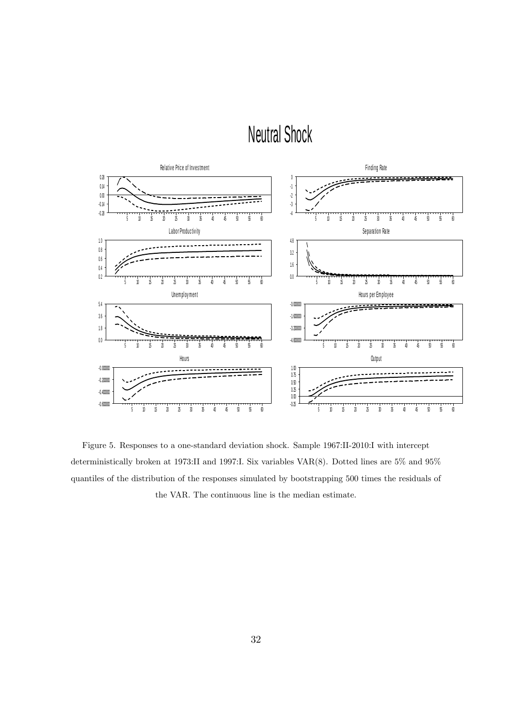# Neutral Shock



Figure 5. Responses to a one-standard deviation shock. Sample 1967:II-2010:I with intercept deterministically broken at 1973:II and 1997:I. Six variables VAR(8). Dotted lines are 5% and 95% quantiles of the distribution of the responses simulated by bootstrapping 500 times the residuals of the VAR. The continuous line is the median estimate.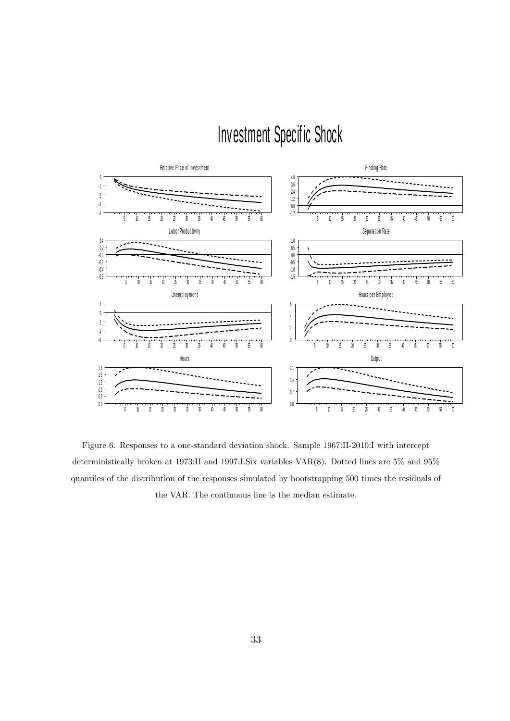# Inv estment Specif ic Shock



Figure 6. Responses to a one-standard deviation shock. Sample 1967:II-2010:I with intercept deterministically broken at 1973:II and 1997:I.Six variables VAR(8). Dotted lines are 5% and 95% quantiles of the distribution of the responses simulated by bootstrapping 500 times the residuals of the VAR. The continuous line is the median estimate.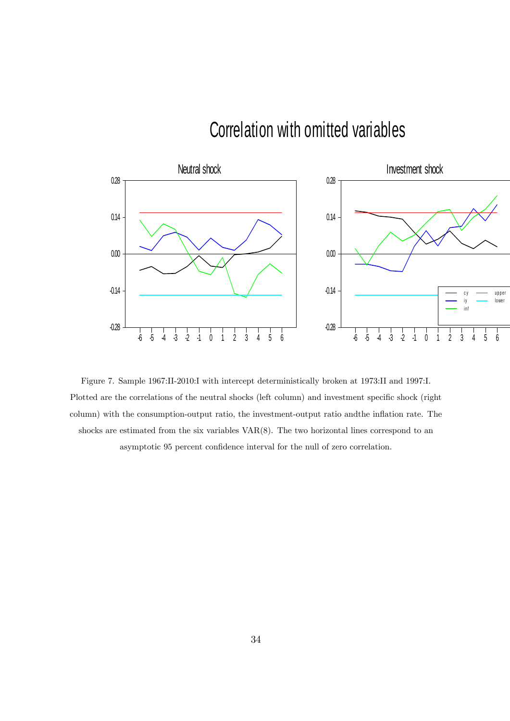# Correlation with omitted variables



Figure 7. Sample 1967:II-2010:I with intercept deterministically broken at 1973:II and 1997:I. Plotted are the correlations of the neutral shocks (left column) and investment specific shock (right column) with the consumption-output ratio, the investment-output ratio and the inflation rate. The shocks are estimated from the six variables VAR(8). The two horizontal lines correspond to an asymptotic 95 percent confidence interval for the null of zero correlation.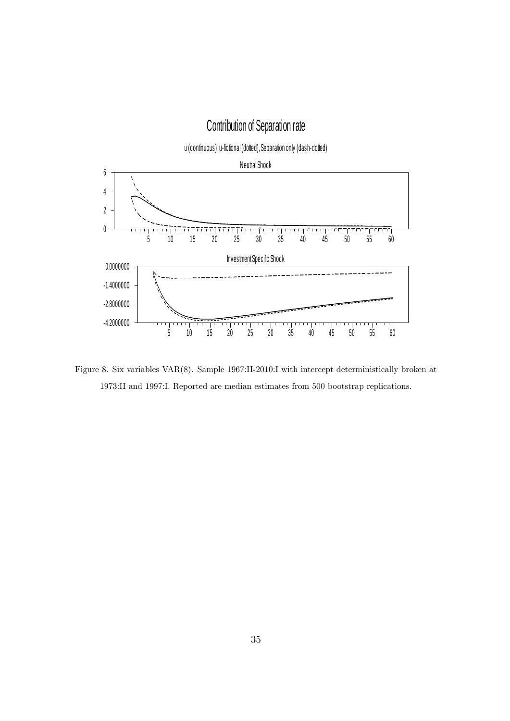## Contribution of Separation rate

u (continuous), u-fictional (dotted), Separation only (dash-dotted) Neutral Shock <sup>5</sup> 1 0 1 5 2 0 2 5 3 0 3 5 4 0 4 5 5 0 5 5 6 0 <sup>0</sup> 2 4 6 Inv es tment Spec ific Shoc k <sup>5</sup> 1 0 1 5 2 0 2 5 3 0 3 5 4 0 4 5 5 0 5 5 6 0 -4.2000000 -2.8000000  $-1.4000000$ 0.0000000

Figure 8. Six variables VAR(8). Sample 1967:II-2010:I with intercept deterministically broken at 1973:II and 1997:I. Reported are median estimates from 500 bootstrap replications.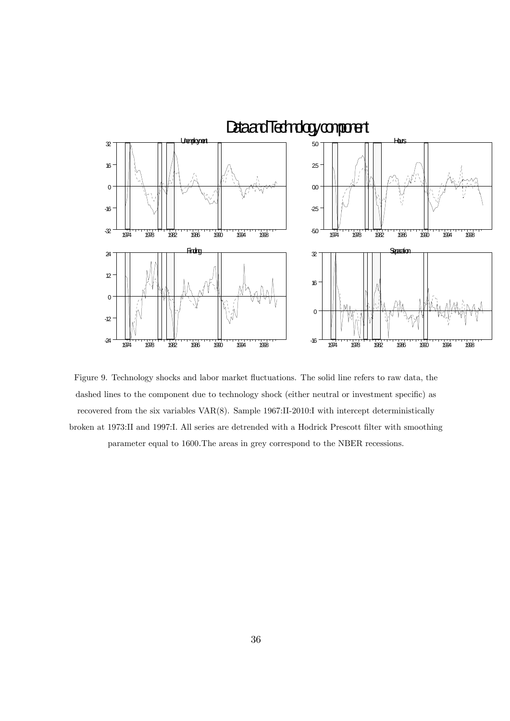

Figure 9. Technology shocks and labor market fluctuations. The solid line refers to raw data, the dashed lines to the component due to technology shock (either neutral or investment specific) as recovered from the six variables VAR(8). Sample 1967:II-2010:I with intercept deterministically broken at 1973:II and 1997:I. All series are detrended with a Hodrick Prescott Ölter with smoothing parameter equal to 1600. The areas in grey correspond to the NBER recessions.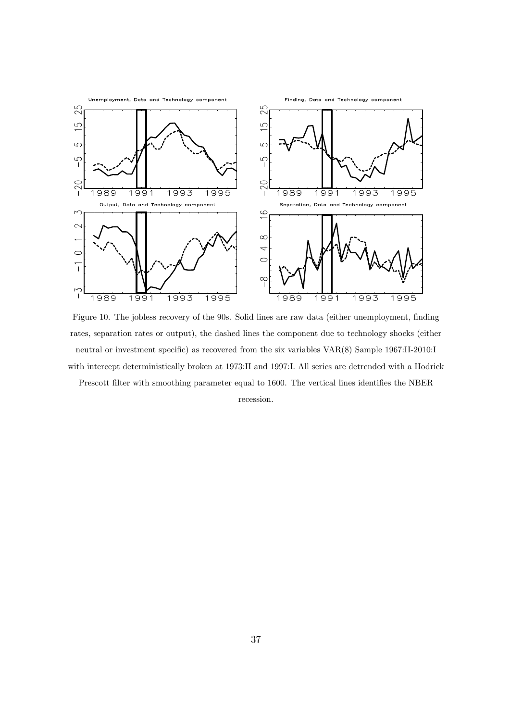

Figure 10. The jobless recovery of the 90s. Solid lines are raw data (either unemployment, finding rates, separation rates or output), the dashed lines the component due to technology shocks (either neutral or investment specific) as recovered from the six variables  $VAR(8)$  Sample 1967:II-2010:I with intercept deterministically broken at 1973:II and 1997:I. All series are detrended with a Hodrick

Prescott filter with smoothing parameter equal to 1600. The vertical lines identifies the NBER recession.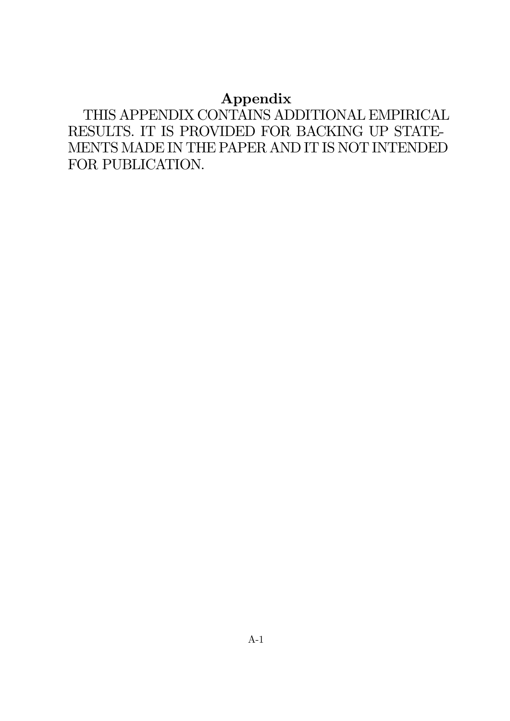## Appendix

THIS APPENDIX CONTAINS ADDITIONAL EMPIRICAL RESULTS. IT IS PROVIDED FOR BACKING UP STATE-MENTS MADE IN THE PAPER AND IT IS NOT INTENDED FOR PUBLICATION.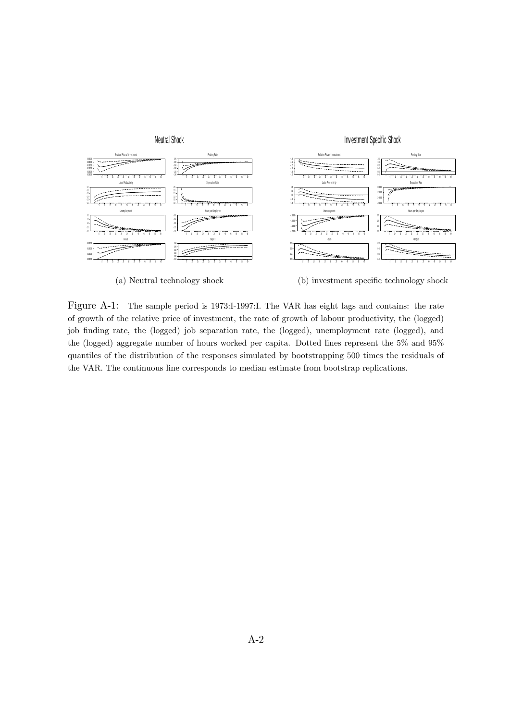

Figure A-1: The sample period is 1973:I-1997:I. The VAR has eight lags and contains: the rate of growth of the relative price of investment, the rate of growth of labour productivity, the (logged) job finding rate, the (logged) job separation rate, the (logged), unemployment rate (logged), and the (logged) aggregate number of hours worked per capita. Dotted lines represent the 5% and 95%

the VAR. The continuous line corresponds to median estimate from bootstrap replications.

quantiles of the distribution of the responses simulated by bootstrapping 500 times the residuals of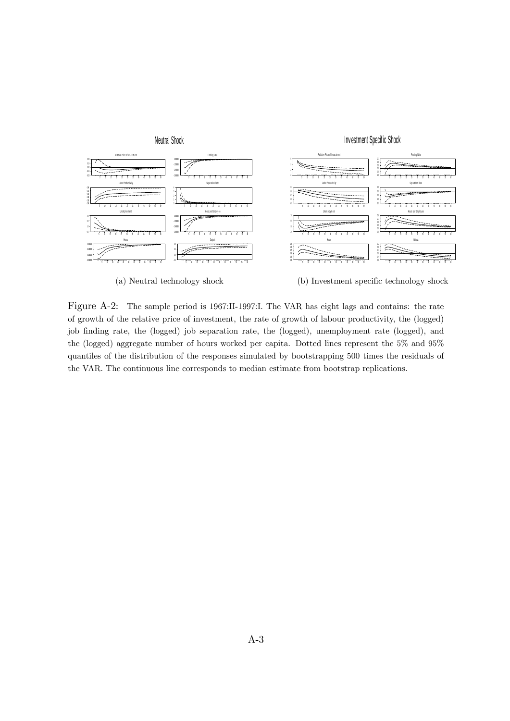

Figure A-2: The sample period is 1967:II-1997:I. The VAR has eight lags and contains: the rate of growth of the relative price of investment, the rate of growth of labour productivity, the (logged) job finding rate, the (logged) job separation rate, the (logged), unemployment rate (logged), and the (logged) aggregate number of hours worked per capita. Dotted lines represent the 5% and 95% quantiles of the distribution of the responses simulated by bootstrapping 500 times the residuals of the VAR. The continuous line corresponds to median estimate from bootstrap replications.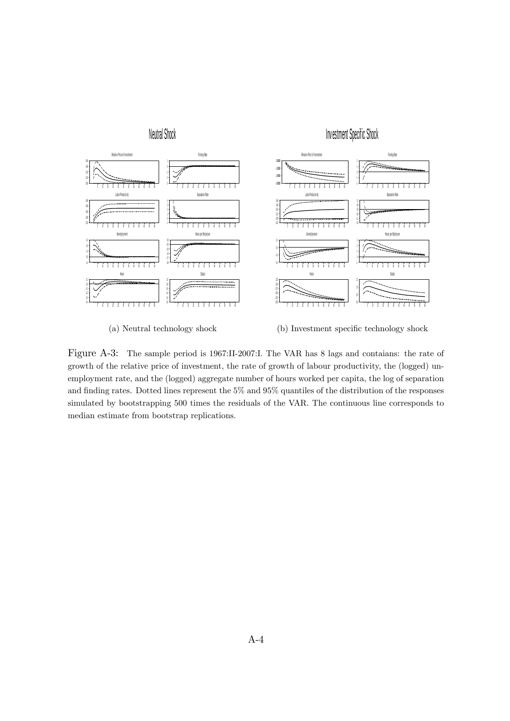

(a) Neutral technology shock (b) Investment specific technology shock

Figure A-3: The sample period is 1967:II-2007:I. The VAR has 8 lags and contaians: the rate of growth of the relative price of investment, the rate of growth of labour productivity, the (logged) unemployment rate, and the (logged) aggregate number of hours worked per capita, the log of separation and finding rates. Dotted lines represent the 5% and 95% quantiles of the distribution of the responses simulated by bootstrapping 500 times the residuals of the VAR. The continuous line corresponds to median estimate from bootstrap replications.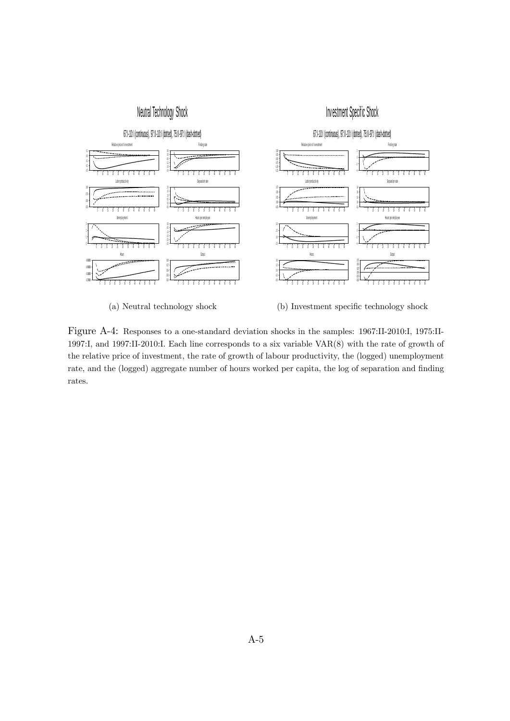

(a) Neutral technology shock (b) Investment specific technology shock

Figure A-4: Responses to a one-standard deviation shocks in the samples: 1967:II-2010:I, 1975:II-1997:I, and 1997:II-2010:I. Each line corresponds to a six variable VAR(8) with the rate of growth of the relative price of investment, the rate of growth of labour productivity, the (logged) unemployment rate, and the (logged) aggregate number of hours worked per capita, the log of separation and finding rates.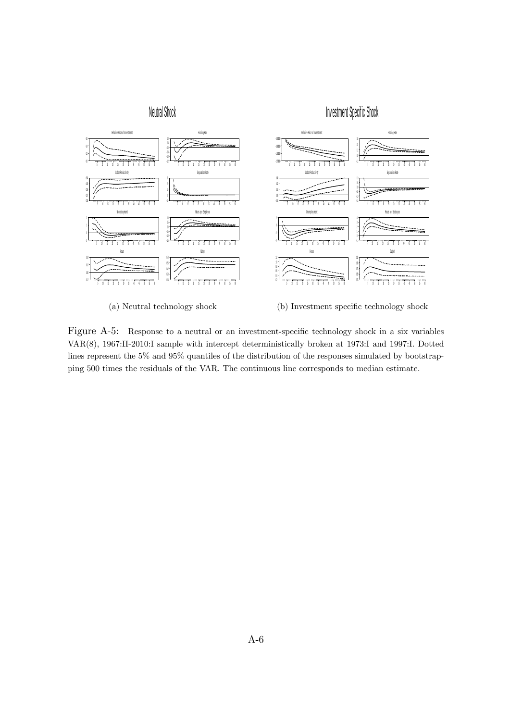

Figure A-5: Response to a neutral or an investment-specific technology shock in a six variables VAR(8), 1967:II-2010:I sample with intercept deterministically broken at 1973:I and 1997:I. Dotted lines represent the 5% and 95% quantiles of the distribution of the responses simulated by bootstrapping 500 times the residuals of the VAR. The continuous line corresponds to median estimate.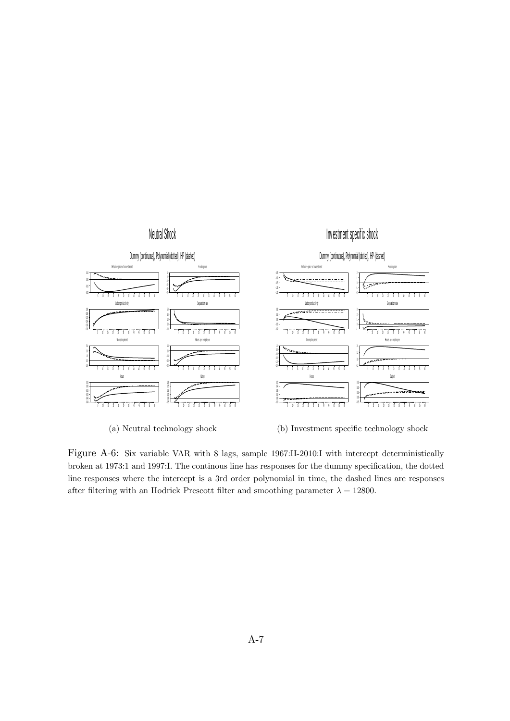

Figure A-6: Six variable VAR with 8 lags, sample 1967:II-2010:I with intercept deterministically broken at 1973:1 and 1997:I. The continous line has responses for the dummy specification, the dotted line responses where the intercept is a 3rd order polynomial in time, the dashed lines are responses after filtering with an Hodrick Prescott filter and smoothing parameter  $\lambda = 12800$ .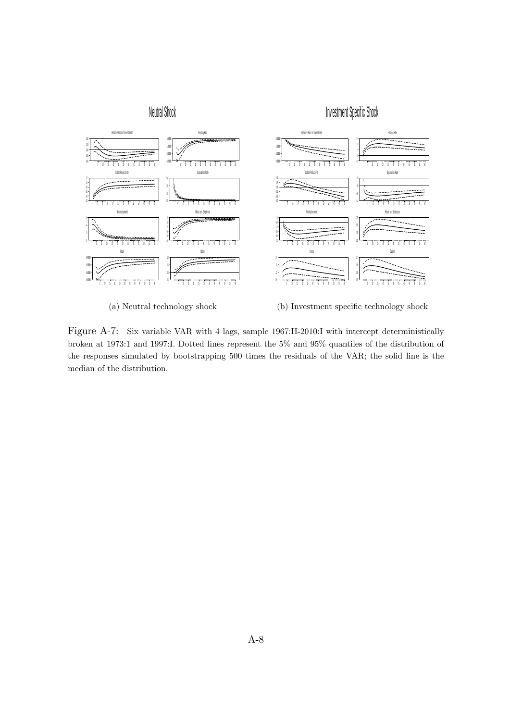

(a) Neutral technology shock (b) Investment specific technology shock

Figure A-7: Six variable VAR with 4 lags, sample 1967:II-2010:I with intercept deterministically broken at 1973:1 and 1997:I. Dotted lines represent the 5% and 95% quantiles of the distribution of the responses simulated by bootstrapping 500 times the residuals of the VAR; the solid line is the median of the distribution.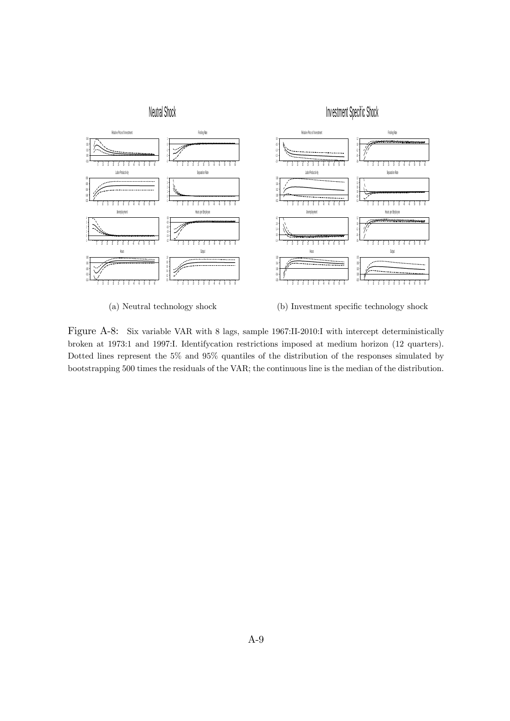

(a) Neutral technology shock (b) Investment specific technology shock

Figure A-8: Six variable VAR with 8 lags, sample 1967:II-2010:I with intercept deterministically broken at 1973:1 and 1997:I. Identifycation restrictions imposed at medium horizon (12 quarters). Dotted lines represent the 5% and 95% quantiles of the distribution of the responses simulated by bootstrapping 500 times the residuals of the VAR; the continuous line is the median of the distribution.